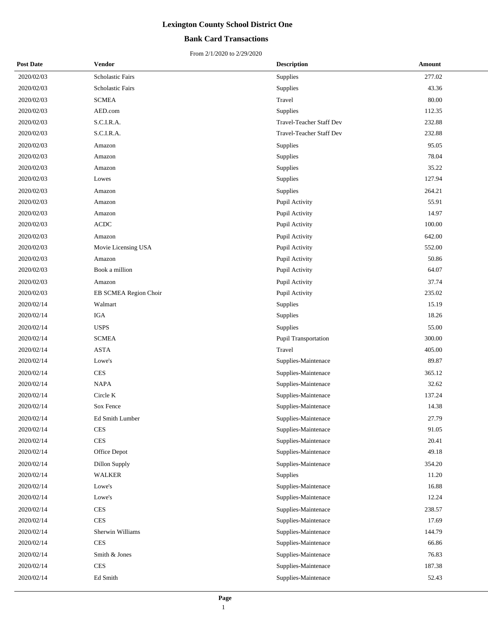## **Bank Card Transactions**

| <b>Post Date</b> | Vendor                | <b>Description</b>              | Amount |
|------------------|-----------------------|---------------------------------|--------|
| 2020/02/03       | Scholastic Fairs      | Supplies                        | 277.02 |
| 2020/02/03       | Scholastic Fairs      | Supplies                        | 43.36  |
| 2020/02/03       | <b>SCMEA</b>          | Travel                          | 80.00  |
| 2020/02/03       | AED.com               | Supplies                        | 112.35 |
| 2020/02/03       | S.C.I.R.A.            | <b>Travel-Teacher Staff Dev</b> | 232.88 |
| 2020/02/03       | S.C.I.R.A.            | <b>Travel-Teacher Staff Dev</b> | 232.88 |
| 2020/02/03       | Amazon                | Supplies                        | 95.05  |
| 2020/02/03       | Amazon                | Supplies                        | 78.04  |
| 2020/02/03       | Amazon                | Supplies                        | 35.22  |
| 2020/02/03       | Lowes                 | Supplies                        | 127.94 |
| 2020/02/03       | Amazon                | Supplies                        | 264.21 |
| 2020/02/03       | Amazon                | Pupil Activity                  | 55.91  |
| 2020/02/03       | Amazon                | Pupil Activity                  | 14.97  |
| 2020/02/03       | <b>ACDC</b>           | Pupil Activity                  | 100.00 |
| 2020/02/03       | Amazon                | Pupil Activity                  | 642.00 |
| 2020/02/03       | Movie Licensing USA   | Pupil Activity                  | 552.00 |
| 2020/02/03       | Amazon                | Pupil Activity                  | 50.86  |
| 2020/02/03       | Book a million        | Pupil Activity                  | 64.07  |
| 2020/02/03       | Amazon                | Pupil Activity                  | 37.74  |
| 2020/02/03       | EB SCMEA Region Choir | Pupil Activity                  | 235.02 |
| 2020/02/14       | Walmart               | Supplies                        | 15.19  |
| 2020/02/14       | <b>IGA</b>            | Supplies                        | 18.26  |
| 2020/02/14       | <b>USPS</b>           | Supplies                        | 55.00  |
| 2020/02/14       | <b>SCMEA</b>          | Pupil Transportation            | 300.00 |
| 2020/02/14       | <b>ASTA</b>           | Travel                          | 405.00 |
| 2020/02/14       | Lowe's                | Supplies-Maintenace             | 89.87  |
| 2020/02/14       | <b>CES</b>            | Supplies-Maintenace             | 365.12 |
| 2020/02/14       | <b>NAPA</b>           | Supplies-Maintenace             | 32.62  |
| 2020/02/14       | Circle K              | Supplies-Maintenace             | 137.24 |
| 2020/02/14       | Sox Fence             | Supplies-Maintenace             | 14.38  |
| 2020/02/14       | Ed Smith Lumber       | Supplies-Maintenace             | 27.79  |
| 2020/02/14       | <b>CES</b>            | Supplies-Maintenace             | 91.05  |
| 2020/02/14       | <b>CES</b>            | Supplies-Maintenace             | 20.41  |
| 2020/02/14       | Office Depot          | Supplies-Maintenace             | 49.18  |
| 2020/02/14       | <b>Dillon Supply</b>  | Supplies-Maintenace             | 354.20 |
| 2020/02/14       | <b>WALKER</b>         | Supplies                        | 11.20  |
| 2020/02/14       | Lowe's                | Supplies-Maintenace             | 16.88  |
| 2020/02/14       | Lowe's                | Supplies-Maintenace             | 12.24  |
| 2020/02/14       | <b>CES</b>            | Supplies-Maintenace             | 238.57 |
| 2020/02/14       | <b>CES</b>            | Supplies-Maintenace             | 17.69  |
| 2020/02/14       | Sherwin Williams      | Supplies-Maintenace             | 144.79 |
| 2020/02/14       | <b>CES</b>            | Supplies-Maintenace             | 66.86  |
| 2020/02/14       | Smith & Jones         | Supplies-Maintenace             | 76.83  |
| 2020/02/14       | <b>CES</b>            | Supplies-Maintenace             | 187.38 |
| 2020/02/14       | Ed Smith              | Supplies-Maintenace             | 52.43  |
|                  |                       |                                 |        |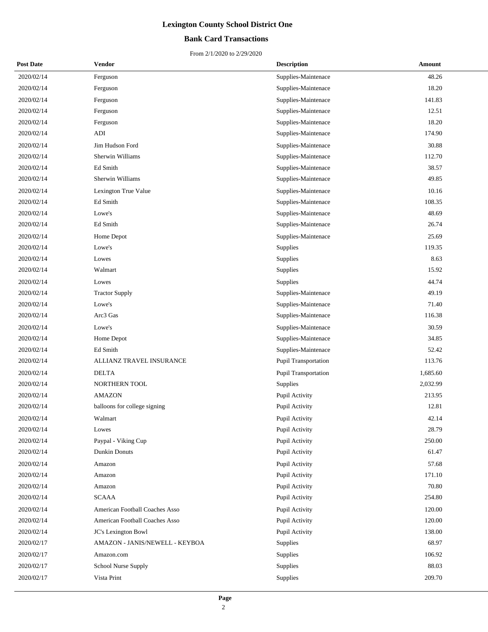## **Bank Card Transactions**

| <b>Post Date</b> | Vendor                         | <b>Description</b>   | Amount   |
|------------------|--------------------------------|----------------------|----------|
| 2020/02/14       | Ferguson                       | Supplies-Maintenace  | 48.26    |
| 2020/02/14       | Ferguson                       | Supplies-Maintenace  | 18.20    |
| 2020/02/14       | Ferguson                       | Supplies-Maintenace  | 141.83   |
| 2020/02/14       | Ferguson                       | Supplies-Maintenace  | 12.51    |
| 2020/02/14       | Ferguson                       | Supplies-Maintenace  | 18.20    |
| 2020/02/14       | ADI                            | Supplies-Maintenace  | 174.90   |
| 2020/02/14       | Jim Hudson Ford                | Supplies-Maintenace  | 30.88    |
| 2020/02/14       | Sherwin Williams               | Supplies-Maintenace  | 112.70   |
| 2020/02/14       | Ed Smith                       | Supplies-Maintenace  | 38.57    |
| 2020/02/14       | Sherwin Williams               | Supplies-Maintenace  | 49.85    |
| 2020/02/14       | Lexington True Value           | Supplies-Maintenace  | 10.16    |
| 2020/02/14       | Ed Smith                       | Supplies-Maintenace  | 108.35   |
| 2020/02/14       | Lowe's                         | Supplies-Maintenace  | 48.69    |
| 2020/02/14       | Ed Smith                       | Supplies-Maintenace  | 26.74    |
| 2020/02/14       | Home Depot                     | Supplies-Maintenace  | 25.69    |
| 2020/02/14       | Lowe's                         | Supplies             | 119.35   |
| 2020/02/14       | Lowes                          | Supplies             | 8.63     |
| 2020/02/14       | Walmart                        | Supplies             | 15.92    |
| 2020/02/14       | Lowes                          | Supplies             | 44.74    |
| 2020/02/14       | <b>Tractor Supply</b>          | Supplies-Maintenace  | 49.19    |
| 2020/02/14       | Lowe's                         | Supplies-Maintenace  | 71.40    |
| 2020/02/14       | Arc3 Gas                       | Supplies-Maintenace  | 116.38   |
| 2020/02/14       | Lowe's                         | Supplies-Maintenace  | 30.59    |
| 2020/02/14       | Home Depot                     | Supplies-Maintenace  | 34.85    |
| 2020/02/14       | Ed Smith                       | Supplies-Maintenace  | 52.42    |
| 2020/02/14       | ALLIANZ TRAVEL INSURANCE       | Pupil Transportation | 113.76   |
| 2020/02/14       | <b>DELTA</b>                   | Pupil Transportation | 1,685.60 |
| 2020/02/14       | NORTHERN TOOL                  | Supplies             | 2,032.99 |
| 2020/02/14       | <b>AMAZON</b>                  | Pupil Activity       | 213.95   |
| 2020/02/14       | balloons for college signing   | Pupil Activity       | 12.81    |
| 2020/02/14       | Walmart                        | Pupil Activity       | 42.14    |
| 2020/02/14       | Lowes                          | Pupil Activity       | 28.79    |
| 2020/02/14       | Paypal - Viking Cup            | Pupil Activity       | 250.00   |
| 2020/02/14       | <b>Dunkin Donuts</b>           | Pupil Activity       | 61.47    |
| 2020/02/14       | Amazon                         | Pupil Activity       | 57.68    |
| 2020/02/14       | Amazon                         | Pupil Activity       | 171.10   |
| 2020/02/14       | Amazon                         | Pupil Activity       | 70.80    |
| 2020/02/14       | <b>SCAAA</b>                   | Pupil Activity       | 254.80   |
| 2020/02/14       | American Football Coaches Asso | Pupil Activity       | 120.00   |
| 2020/02/14       | American Football Coaches Asso | Pupil Activity       | 120.00   |
| 2020/02/14       | JC's Lexington Bowl            | Pupil Activity       | 138.00   |
| 2020/02/17       | AMAZON - JANIS/NEWELL - KEYBOA | Supplies             | 68.97    |
| 2020/02/17       | Amazon.com                     | Supplies             | 106.92   |
| 2020/02/17       | School Nurse Supply            | Supplies             | 88.03    |
| 2020/02/17       | Vista Print                    | Supplies             | 209.70   |
|                  |                                |                      |          |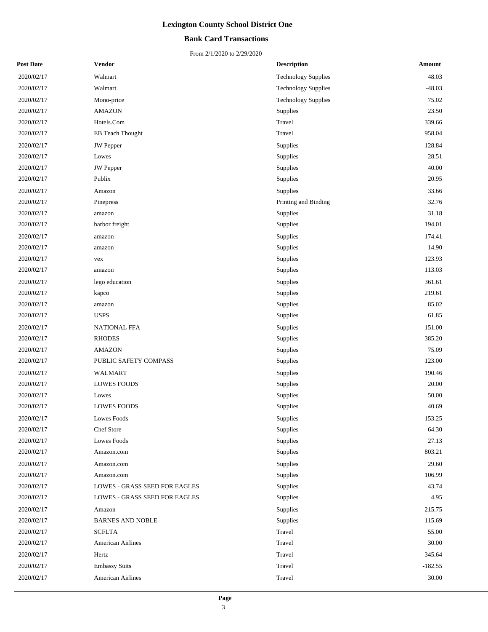## **Bank Card Transactions**

| <b>Post Date</b> | Vendor                        | <b>Description</b>         | Amount    |
|------------------|-------------------------------|----------------------------|-----------|
| 2020/02/17       | Walmart                       | <b>Technology Supplies</b> | 48.03     |
| 2020/02/17       | Walmart                       | <b>Technology Supplies</b> | $-48.03$  |
| 2020/02/17       | Mono-price                    | Technology Supplies        | 75.02     |
| 2020/02/17       | <b>AMAZON</b>                 | Supplies                   | 23.50     |
| 2020/02/17       | Hotels.Com                    | Travel                     | 339.66    |
| 2020/02/17       | EB Teach Thought              | Travel                     | 958.04    |
| 2020/02/17       | JW Pepper                     | Supplies                   | 128.84    |
| 2020/02/17       | Lowes                         | Supplies                   | 28.51     |
| 2020/02/17       | JW Pepper                     | Supplies                   | 40.00     |
| 2020/02/17       | Publix                        | Supplies                   | 20.95     |
| 2020/02/17       | Amazon                        | Supplies                   | 33.66     |
| 2020/02/17       | Pinepress                     | Printing and Binding       | 32.76     |
| 2020/02/17       | amazon                        | Supplies                   | 31.18     |
| 2020/02/17       | harbor freight                | Supplies                   | 194.01    |
| 2020/02/17       | amazon                        | Supplies                   | 174.41    |
| 2020/02/17       | amazon                        | Supplies                   | 14.90     |
| 2020/02/17       | vex                           | Supplies                   | 123.93    |
| 2020/02/17       | amazon                        | Supplies                   | 113.03    |
| 2020/02/17       | lego education                | Supplies                   | 361.61    |
| 2020/02/17       | kapco                         | Supplies                   | 219.61    |
| 2020/02/17       | amazon                        | Supplies                   | 85.02     |
| 2020/02/17       | <b>USPS</b>                   | Supplies                   | 61.85     |
| 2020/02/17       | <b>NATIONAL FFA</b>           | Supplies                   | 151.00    |
| 2020/02/17       | <b>RHODES</b>                 | Supplies                   | 385.20    |
| 2020/02/17       | <b>AMAZON</b>                 | Supplies                   | 75.09     |
| 2020/02/17       | PUBLIC SAFETY COMPASS         | Supplies                   | 123.00    |
| 2020/02/17       | <b>WALMART</b>                | Supplies                   | 190.46    |
| 2020/02/17       | <b>LOWES FOODS</b>            | Supplies                   | 20.00     |
| 2020/02/17       | Lowes                         | Supplies                   | 50.00     |
| 2020/02/17       | <b>LOWES FOODS</b>            | Supplies                   | 40.69     |
| 2020/02/17       | Lowes Foods                   | Supplies                   | 153.25    |
| 2020/02/17       | Chef Store                    | Supplies                   | 64.30     |
| 2020/02/17       | <b>Lowes Foods</b>            | Supplies                   | 27.13     |
| 2020/02/17       | Amazon.com                    | Supplies                   | 803.21    |
| 2020/02/17       | Amazon.com                    | Supplies                   | 29.60     |
| 2020/02/17       | Amazon.com                    | Supplies                   | 106.99    |
| 2020/02/17       | LOWES - GRASS SEED FOR EAGLES | Supplies                   | 43.74     |
| 2020/02/17       | LOWES - GRASS SEED FOR EAGLES | Supplies                   | 4.95      |
| 2020/02/17       | Amazon                        | Supplies                   | 215.75    |
| 2020/02/17       | <b>BARNES AND NOBLE</b>       | Supplies                   | 115.69    |
| 2020/02/17       | <b>SCFLTA</b>                 | Travel                     | 55.00     |
| 2020/02/17       | American Airlines             | Travel                     | 30.00     |
| 2020/02/17       | Hertz                         | Travel                     | 345.64    |
| 2020/02/17       | <b>Embassy Suits</b>          | Travel                     | $-182.55$ |
| 2020/02/17       | American Airlines             | Travel                     | 30.00     |
|                  |                               |                            |           |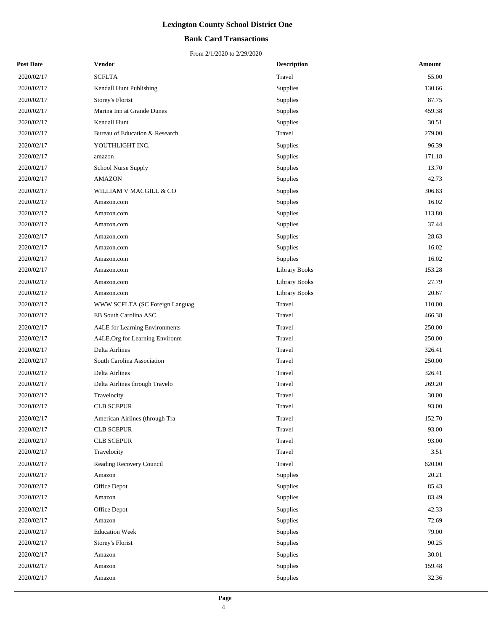## **Bank Card Transactions**

| <b>Post Date</b> | Vendor                         | <b>Description</b>   | Amount |
|------------------|--------------------------------|----------------------|--------|
| 2020/02/17       | <b>SCFLTA</b>                  | Travel               | 55.00  |
| 2020/02/17       | Kendall Hunt Publishing        | Supplies             | 130.66 |
| 2020/02/17       | Storey's Florist               | Supplies             | 87.75  |
| 2020/02/17       | Marina Inn at Grande Dunes     | Supplies             | 459.38 |
| 2020/02/17       | Kendall Hunt                   | Supplies             | 30.51  |
| 2020/02/17       | Bureau of Education & Research | Travel               | 279.00 |
| 2020/02/17       | YOUTHLIGHT INC.                | Supplies             | 96.39  |
| 2020/02/17       | amazon                         | Supplies             | 171.18 |
| 2020/02/17       | School Nurse Supply            | Supplies             | 13.70  |
| 2020/02/17       | <b>AMAZON</b>                  | Supplies             | 42.73  |
| 2020/02/17       | WILLIAM V MACGILL & CO         | Supplies             | 306.83 |
| 2020/02/17       | Amazon.com                     | Supplies             | 16.02  |
| 2020/02/17       | Amazon.com                     | Supplies             | 113.80 |
| 2020/02/17       | Amazon.com                     | Supplies             | 37.44  |
| 2020/02/17       | Amazon.com                     | Supplies             | 28.63  |
| 2020/02/17       | Amazon.com                     | Supplies             | 16.02  |
| 2020/02/17       | Amazon.com                     | Supplies             | 16.02  |
| 2020/02/17       | Amazon.com                     | <b>Library Books</b> | 153.28 |
| 2020/02/17       | Amazon.com                     | <b>Library Books</b> | 27.79  |
| 2020/02/17       | Amazon.com                     | <b>Library Books</b> | 20.67  |
| 2020/02/17       | WWW SCFLTA (SC Foreign Languag | Travel               | 110.00 |
| 2020/02/17       | EB South Carolina ASC          | Travel               | 466.38 |
| 2020/02/17       | A4LE for Learning Environments | Travel               | 250.00 |
| 2020/02/17       | A4LE.Org for Learning Environm | Travel               | 250.00 |
| 2020/02/17       | Delta Airlines                 | Travel               | 326.41 |
| 2020/02/17       | South Carolina Association     | Travel               | 250.00 |
| 2020/02/17       | Delta Airlines                 | Travel               | 326.41 |
| 2020/02/17       | Delta Airlines through Travelo | Travel               | 269.20 |
| 2020/02/17       | Travelocity                    | Travel               | 30.00  |
| 2020/02/17       | <b>CLB SCEPUR</b>              | Travel               | 93.00  |
| 2020/02/17       | American Airlines (through Tra | Travel               | 152.70 |
| 2020/02/17       | <b>CLB SCEPUR</b>              | Travel               | 93.00  |
| 2020/02/17       | <b>CLB SCEPUR</b>              | Travel               | 93.00  |
| 2020/02/17       | Travelocity                    | Travel               | 3.51   |
| 2020/02/17       | Reading Recovery Council       | Travel               | 620.00 |
| 2020/02/17       | Amazon                         | Supplies             | 20.21  |
| 2020/02/17       | Office Depot                   | Supplies             | 85.43  |
| 2020/02/17       | Amazon                         | Supplies             | 83.49  |
| 2020/02/17       | Office Depot                   | Supplies             | 42.33  |
| 2020/02/17       | Amazon                         | Supplies             | 72.69  |
| 2020/02/17       | <b>Education Week</b>          | Supplies             | 79.00  |
| 2020/02/17       | Storey's Florist               | Supplies             | 90.25  |
| 2020/02/17       | Amazon                         | Supplies             | 30.01  |
| 2020/02/17       | Amazon                         | Supplies             | 159.48 |
| 2020/02/17       | Amazon                         | Supplies             | 32.36  |
|                  |                                |                      |        |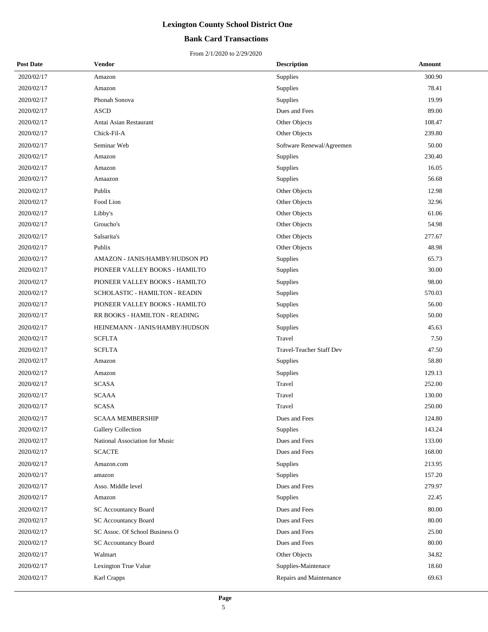## **Bank Card Transactions**

| <b>Post Date</b> | Vendor                         | <b>Description</b>        | Amount |
|------------------|--------------------------------|---------------------------|--------|
| 2020/02/17       | Amazon                         | Supplies                  | 300.90 |
| 2020/02/17       | Amazon                         | Supplies                  | 78.41  |
| 2020/02/17       | Phonah Sonova                  | Supplies                  | 19.99  |
| 2020/02/17       | <b>ASCD</b>                    | Dues and Fees             | 89.00  |
| 2020/02/17       | Antai Asian Restaurant         | Other Objects             | 108.47 |
| 2020/02/17       | Chick-Fil-A                    | Other Objects             | 239.80 |
| 2020/02/17       | Seminar Web                    | Software Renewal/Agreemen | 50.00  |
| 2020/02/17       | Amazon                         | <b>Supplies</b>           | 230.40 |
| 2020/02/17       | Amazon                         | Supplies                  | 16.05  |
| 2020/02/17       | Amaazon                        | Supplies                  | 56.68  |
| 2020/02/17       | Publix                         | Other Objects             | 12.98  |
| 2020/02/17       | Food Lion                      | Other Objects             | 32.96  |
| 2020/02/17       | Libby's                        | Other Objects             | 61.06  |
| 2020/02/17       | Groucho's                      | Other Objects             | 54.98  |
| 2020/02/17       | Salsarita's                    | Other Objects             | 277.67 |
| 2020/02/17       | Publix                         | Other Objects             | 48.98  |
| 2020/02/17       | AMAZON - JANIS/HAMBY/HUDSON PD | Supplies                  | 65.73  |
| 2020/02/17       | PIONEER VALLEY BOOKS - HAMILTO | Supplies                  | 30.00  |
| 2020/02/17       | PIONEER VALLEY BOOKS - HAMILTO | Supplies                  | 98.00  |
| 2020/02/17       | SCHOLASTIC - HAMILTON - READIN | Supplies                  | 570.03 |
| 2020/02/17       | PIONEER VALLEY BOOKS - HAMILTO | Supplies                  | 56.00  |
| 2020/02/17       | RR BOOKS - HAMILTON - READING  | Supplies                  | 50.00  |
| 2020/02/17       | HEINEMANN - JANIS/HAMBY/HUDSON | Supplies                  | 45.63  |
| 2020/02/17       | <b>SCFLTA</b>                  | Travel                    | 7.50   |
| 2020/02/17       | <b>SCFLTA</b>                  | Travel-Teacher Staff Dev  | 47.50  |
| 2020/02/17       | Amazon                         | Supplies                  | 58.80  |
| 2020/02/17       | Amazon                         | Supplies                  | 129.13 |
| 2020/02/17       | <b>SCASA</b>                   | Travel                    | 252.00 |
| 2020/02/17       | <b>SCAAA</b>                   | Travel                    | 130.00 |
| 2020/02/17       | <b>SCASA</b>                   | Travel                    | 250.00 |
| 2020/02/17       | <b>SCAAA MEMBERSHIP</b>        | Dues and Fees             | 124.80 |
| 2020/02/17       | Gallery Collection             | Supplies                  | 143.24 |
| 2020/02/17       | National Association for Music | Dues and Fees             | 133.00 |
| 2020/02/17       | <b>SCACTE</b>                  | Dues and Fees             | 168.00 |
| 2020/02/17       | Amazon.com                     | Supplies                  | 213.95 |
| 2020/02/17       | amazon                         | Supplies                  | 157.20 |
| 2020/02/17       | Asso. Middle level             | Dues and Fees             | 279.97 |
| 2020/02/17       | Amazon                         | Supplies                  | 22.45  |
| 2020/02/17       | <b>SC Accountancy Board</b>    | Dues and Fees             | 80.00  |
| 2020/02/17       | <b>SC Accountancy Board</b>    | Dues and Fees             | 80.00  |
| 2020/02/17       | SC Assoc. Of School Business O | Dues and Fees             | 25.00  |
| 2020/02/17       | <b>SC Accountancy Board</b>    | Dues and Fees             | 80.00  |
| 2020/02/17       | Walmart                        | Other Objects             | 34.82  |
| 2020/02/17       | Lexington True Value           | Supplies-Maintenace       | 18.60  |
| 2020/02/17       | Karl Crapps                    | Repairs and Maintenance   | 69.63  |
|                  |                                |                           |        |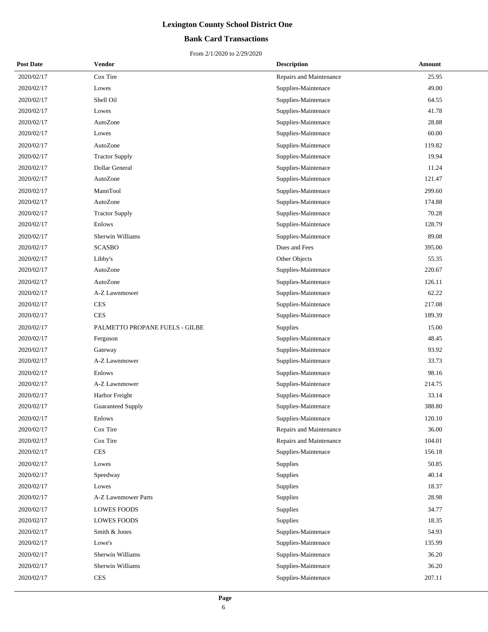## **Bank Card Transactions**

| <b>Post Date</b> | Vendor                         | <b>Description</b>      | Amount |
|------------------|--------------------------------|-------------------------|--------|
| 2020/02/17       | Cox Tire                       | Repairs and Maintenance | 25.95  |
| 2020/02/17       | Lowes                          | Supplies-Maintenace     | 49.00  |
| 2020/02/17       | Shell Oil                      | Supplies-Maintenace     | 64.55  |
| 2020/02/17       | Lowes                          | Supplies-Maintenace     | 41.78  |
| 2020/02/17       | AutoZone                       | Supplies-Maintenace     | 28.88  |
| 2020/02/17       | Lowes                          | Supplies-Maintenace     | 60.00  |
| 2020/02/17       | AutoZone                       | Supplies-Maintenace     | 119.82 |
| 2020/02/17       | <b>Tractor Supply</b>          | Supplies-Maintenace     | 19.94  |
| 2020/02/17       | Dollar General                 | Supplies-Maintenace     | 11.24  |
| 2020/02/17       | AutoZone                       | Supplies-Maintenace     | 121.47 |
| 2020/02/17       | MannTool                       | Supplies-Maintenace     | 299.60 |
| 2020/02/17       | AutoZone                       | Supplies-Maintenace     | 174.88 |
| 2020/02/17       | <b>Tractor Supply</b>          | Supplies-Maintenace     | 70.28  |
| 2020/02/17       | Enlows                         | Supplies-Maintenace     | 128.79 |
| 2020/02/17       | Sherwin Williams               | Supplies-Maintenace     | 89.08  |
| 2020/02/17       | <b>SCASBO</b>                  | Dues and Fees           | 395.00 |
| 2020/02/17       | Libby's                        | Other Objects           | 55.35  |
| 2020/02/17       | AutoZone                       | Supplies-Maintenace     | 220.67 |
| 2020/02/17       | AutoZone                       | Supplies-Maintenace     | 126.11 |
| 2020/02/17       | A-Z Lawnmower                  | Supplies-Maintenace     | 62.22  |
| 2020/02/17       | <b>CES</b>                     | Supplies-Maintenace     | 217.08 |
| 2020/02/17       | <b>CES</b>                     | Supplies-Maintenace     | 189.39 |
| 2020/02/17       | PALMETTO PROPANE FUELS - GILBE | Supplies                | 15.00  |
| 2020/02/17       | Ferguson                       | Supplies-Maintenace     | 48.45  |
| 2020/02/17       | Gateway                        | Supplies-Maintenace     | 93.92  |
| 2020/02/17       | A-Z Lawnmower                  | Supplies-Maintenace     | 33.73  |
| 2020/02/17       | Enlows                         | Supplies-Maintenace     | 98.16  |
| 2020/02/17       | A-Z Lawnmower                  | Supplies-Maintenace     | 214.75 |
| 2020/02/17       | Harbor Freight                 | Supplies-Maintenace     | 33.14  |
| 2020/02/17       | <b>Guaranteed Supply</b>       | Supplies-Maintenace     | 388.80 |
| 2020/02/17       | Enlows                         | Supplies-Maintenace     | 120.10 |
| 2020/02/17       | Cox Tire                       | Repairs and Maintenance | 36.00  |
| 2020/02/17       | Cox Tire                       | Repairs and Maintenance | 104.01 |
| 2020/02/17       | $\mbox{CES}$                   | Supplies-Maintenace     | 156.18 |
| 2020/02/17       | Lowes                          | Supplies                | 50.85  |
| 2020/02/17       | Speedway                       | Supplies                | 40.14  |
| 2020/02/17       | Lowes                          | Supplies                | 18.37  |
| 2020/02/17       | A-Z Lawnmower Parts            | Supplies                | 28.98  |
| 2020/02/17       | <b>LOWES FOODS</b>             | Supplies                | 34.77  |
| 2020/02/17       | <b>LOWES FOODS</b>             | Supplies                | 18.35  |
| 2020/02/17       | Smith & Jones                  | Supplies-Maintenace     | 54.93  |
| 2020/02/17       | Lowe's                         | Supplies-Maintenace     | 135.99 |
| 2020/02/17       | Sherwin Williams               | Supplies-Maintenace     | 36.20  |
| 2020/02/17       | Sherwin Williams               | Supplies-Maintenace     | 36.20  |
| 2020/02/17       | <b>CES</b>                     | Supplies-Maintenace     | 207.11 |
|                  |                                |                         |        |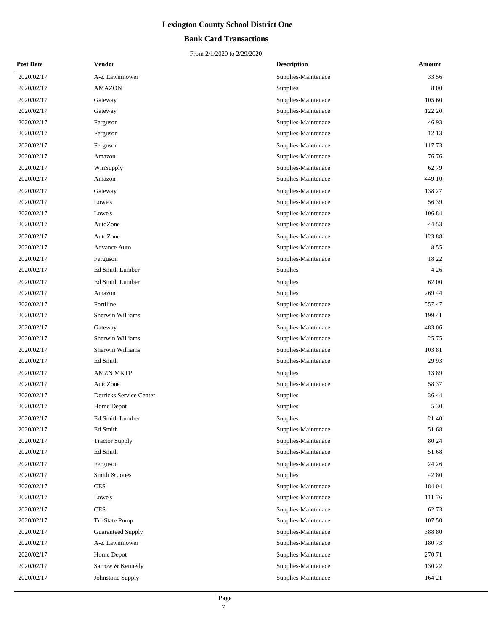## **Bank Card Transactions**

| <b>Post Date</b> | Vendor                  | <b>Description</b>  | Amount |
|------------------|-------------------------|---------------------|--------|
| 2020/02/17       | A-Z Lawnmower           | Supplies-Maintenace | 33.56  |
| 2020/02/17       | <b>AMAZON</b>           | Supplies            | 8.00   |
| 2020/02/17       | Gateway                 | Supplies-Maintenace | 105.60 |
| 2020/02/17       | Gateway                 | Supplies-Maintenace | 122.20 |
| 2020/02/17       | Ferguson                | Supplies-Maintenace | 46.93  |
| 2020/02/17       | Ferguson                | Supplies-Maintenace | 12.13  |
| 2020/02/17       | Ferguson                | Supplies-Maintenace | 117.73 |
| 2020/02/17       | Amazon                  | Supplies-Maintenace | 76.76  |
| 2020/02/17       | WinSupply               | Supplies-Maintenace | 62.79  |
| 2020/02/17       | Amazon                  | Supplies-Maintenace | 449.10 |
| 2020/02/17       | Gateway                 | Supplies-Maintenace | 138.27 |
| 2020/02/17       | Lowe's                  | Supplies-Maintenace | 56.39  |
| 2020/02/17       | Lowe's                  | Supplies-Maintenace | 106.84 |
| 2020/02/17       | AutoZone                | Supplies-Maintenace | 44.53  |
| 2020/02/17       | AutoZone                | Supplies-Maintenace | 123.88 |
| 2020/02/17       | <b>Advance Auto</b>     | Supplies-Maintenace | 8.55   |
| 2020/02/17       | Ferguson                | Supplies-Maintenace | 18.22  |
| 2020/02/17       | Ed Smith Lumber         | Supplies            | 4.26   |
| 2020/02/17       | Ed Smith Lumber         | Supplies            | 62.00  |
| 2020/02/17       | Amazon                  | Supplies            | 269.44 |
| 2020/02/17       | Fortiline               | Supplies-Maintenace | 557.47 |
| 2020/02/17       | Sherwin Williams        | Supplies-Maintenace | 199.41 |
| 2020/02/17       | Gateway                 | Supplies-Maintenace | 483.06 |
| 2020/02/17       | Sherwin Williams        | Supplies-Maintenace | 25.75  |
| 2020/02/17       | Sherwin Williams        | Supplies-Maintenace | 103.81 |
| 2020/02/17       | Ed Smith                | Supplies-Maintenace | 29.93  |
| 2020/02/17       | <b>AMZN MKTP</b>        | Supplies            | 13.89  |
| 2020/02/17       | AutoZone                | Supplies-Maintenace | 58.37  |
| 2020/02/17       | Derricks Service Center | Supplies            | 36.44  |
| 2020/02/17       | Home Depot              | Supplies            | 5.30   |
| 2020/02/17       | Ed Smith Lumber         | Supplies            | 21.40  |
| 2020/02/17       | Ed Smith                | Supplies-Maintenace | 51.68  |
| 2020/02/17       | <b>Tractor Supply</b>   | Supplies-Maintenace | 80.24  |
| 2020/02/17       | Ed Smith                | Supplies-Maintenace | 51.68  |
| 2020/02/17       | Ferguson                | Supplies-Maintenace | 24.26  |
| 2020/02/17       | Smith & Jones           | Supplies            | 42.80  |
| 2020/02/17       | <b>CES</b>              | Supplies-Maintenace | 184.04 |
| 2020/02/17       | Lowe's                  | Supplies-Maintenace | 111.76 |
| 2020/02/17       | <b>CES</b>              | Supplies-Maintenace | 62.73  |
| 2020/02/17       | Tri-State Pump          | Supplies-Maintenace | 107.50 |
| 2020/02/17       | Guaranteed Supply       | Supplies-Maintenace | 388.80 |
| 2020/02/17       | A-Z Lawnmower           | Supplies-Maintenace | 180.73 |
| 2020/02/17       | Home Depot              | Supplies-Maintenace | 270.71 |
| 2020/02/17       | Sarrow & Kennedy        | Supplies-Maintenace | 130.22 |
| 2020/02/17       | Johnstone Supply        | Supplies-Maintenace | 164.21 |
|                  |                         |                     |        |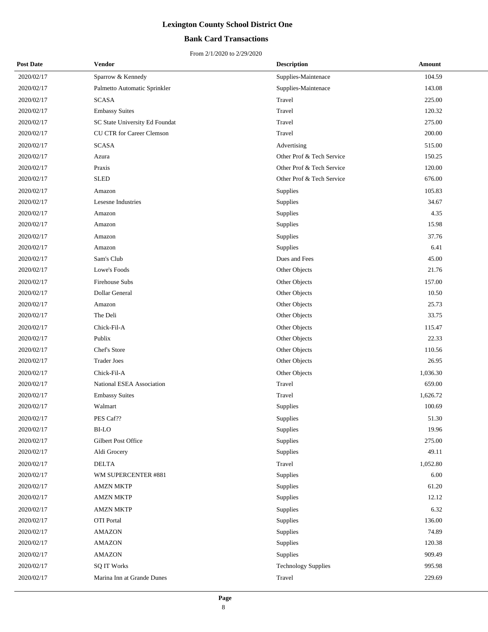## **Bank Card Transactions**

| <b>Post Date</b> | Vendor                         | <b>Description</b>         | Amount   |
|------------------|--------------------------------|----------------------------|----------|
| 2020/02/17       | Sparrow & Kennedy              | Supplies-Maintenace        | 104.59   |
| 2020/02/17       | Palmetto Automatic Sprinkler   | Supplies-Maintenace        | 143.08   |
| 2020/02/17       | <b>SCASA</b>                   | Travel                     | 225.00   |
| 2020/02/17       | <b>Embassy Suites</b>          | Travel                     | 120.32   |
| 2020/02/17       | SC State University Ed Foundat | Travel                     | 275.00   |
| 2020/02/17       | CU CTR for Career Clemson      | Travel                     | 200.00   |
| 2020/02/17       | <b>SCASA</b>                   | Advertising                | 515.00   |
| 2020/02/17       | Azura                          | Other Prof & Tech Service  | 150.25   |
| 2020/02/17       | Praxis                         | Other Prof & Tech Service  | 120.00   |
| 2020/02/17       | <b>SLED</b>                    | Other Prof & Tech Service  | 676.00   |
| 2020/02/17       | Amazon                         | Supplies                   | 105.83   |
| 2020/02/17       | Lesesne Industries             | Supplies                   | 34.67    |
| 2020/02/17       | Amazon                         | Supplies                   | 4.35     |
| 2020/02/17       | Amazon                         | Supplies                   | 15.98    |
| 2020/02/17       | Amazon                         | Supplies                   | 37.76    |
| 2020/02/17       | Amazon                         | Supplies                   | 6.41     |
| 2020/02/17       | Sam's Club                     | Dues and Fees              | 45.00    |
| 2020/02/17       | Lowe's Foods                   | Other Objects              | 21.76    |
| 2020/02/17       | Firehouse Subs                 | Other Objects              | 157.00   |
| 2020/02/17       | Dollar General                 | Other Objects              | 10.50    |
| 2020/02/17       | Amazon                         | Other Objects              | 25.73    |
| 2020/02/17       | The Deli                       | Other Objects              | 33.75    |
| 2020/02/17       | Chick-Fil-A                    | Other Objects              | 115.47   |
| 2020/02/17       | Publix                         | Other Objects              | 22.33    |
| 2020/02/17       | Chef's Store                   | Other Objects              | 110.56   |
| 2020/02/17       | <b>Trader Joes</b>             | Other Objects              | 26.95    |
| 2020/02/17       | Chick-Fil-A                    | Other Objects              | 1,036.30 |
| 2020/02/17       | National ESEA Association      | Travel                     | 659.00   |
| 2020/02/17       | <b>Embassy Suites</b>          | Travel                     | 1,626.72 |
| 2020/02/17       | Walmart                        | Supplies                   | 100.69   |
| 2020/02/17       | PES Caf??                      | Supplies                   | 51.30    |
| 2020/02/17       | <b>BI-LO</b>                   | Supplies                   | 19.96    |
| 2020/02/17       | Gilbert Post Office            | Supplies                   | 275.00   |
| 2020/02/17       | Aldi Grocery                   | Supplies                   | 49.11    |
| 2020/02/17       | <b>DELTA</b>                   | Travel                     | 1,052.80 |
| 2020/02/17       | WM SUPERCENTER #881            | Supplies                   | 6.00     |
| 2020/02/17       | <b>AMZN MKTP</b>               | Supplies                   | 61.20    |
| 2020/02/17       | <b>AMZN MKTP</b>               | Supplies                   | 12.12    |
| 2020/02/17       | <b>AMZN MKTP</b>               | Supplies                   | 6.32     |
| 2020/02/17       | <b>OTI</b> Portal              | Supplies                   | 136.00   |
| 2020/02/17       | <b>AMAZON</b>                  | Supplies                   | 74.89    |
| 2020/02/17       | <b>AMAZON</b>                  | Supplies                   | 120.38   |
| 2020/02/17       | <b>AMAZON</b>                  | Supplies                   | 909.49   |
| 2020/02/17       | <b>SQ IT Works</b>             | <b>Technology Supplies</b> | 995.98   |
| 2020/02/17       | Marina Inn at Grande Dunes     | Travel                     | 229.69   |
|                  |                                |                            |          |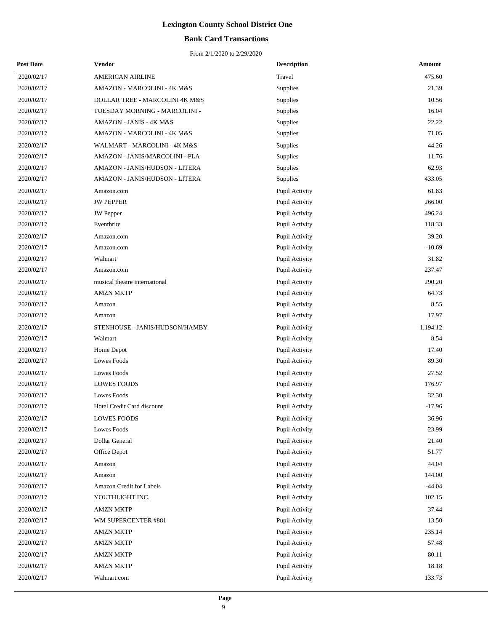## **Bank Card Transactions**

| <b>Post Date</b> | Vendor                         | <b>Description</b> | Amount   |
|------------------|--------------------------------|--------------------|----------|
| 2020/02/17       | <b>AMERICAN AIRLINE</b>        | Travel             | 475.60   |
| 2020/02/17       | AMAZON - MARCOLINI - 4K M&S    | Supplies           | 21.39    |
| 2020/02/17       | DOLLAR TREE - MARCOLINI 4K M&S | Supplies           | 10.56    |
| 2020/02/17       | TUESDAY MORNING - MARCOLINI -  | Supplies           | 16.04    |
| 2020/02/17       | AMAZON - JANIS - 4K M&S        | Supplies           | 22.22    |
| 2020/02/17       | AMAZON - MARCOLINI - 4K M&S    | Supplies           | 71.05    |
| 2020/02/17       | WALMART - MARCOLINI - 4K M&S   | Supplies           | 44.26    |
| 2020/02/17       | AMAZON - JANIS/MARCOLINI - PLA | Supplies           | 11.76    |
| 2020/02/17       | AMAZON - JANIS/HUDSON - LITERA | Supplies           | 62.93    |
| 2020/02/17       | AMAZON - JANIS/HUDSON - LITERA | Supplies           | 433.05   |
| 2020/02/17       | Amazon.com                     | Pupil Activity     | 61.83    |
| 2020/02/17       | <b>JW PEPPER</b>               | Pupil Activity     | 266.00   |
| 2020/02/17       | JW Pepper                      | Pupil Activity     | 496.24   |
| 2020/02/17       | Eventbrite                     | Pupil Activity     | 118.33   |
| 2020/02/17       | Amazon.com                     | Pupil Activity     | 39.20    |
| 2020/02/17       | Amazon.com                     | Pupil Activity     | $-10.69$ |
| 2020/02/17       | Walmart                        | Pupil Activity     | 31.82    |
| 2020/02/17       | Amazon.com                     | Pupil Activity     | 237.47   |
| 2020/02/17       | musical theatre international  | Pupil Activity     | 290.20   |
| 2020/02/17       | <b>AMZN MKTP</b>               | Pupil Activity     | 64.73    |
| 2020/02/17       | Amazon                         | Pupil Activity     | 8.55     |
| 2020/02/17       | Amazon                         | Pupil Activity     | 17.97    |
| 2020/02/17       | STENHOUSE - JANIS/HUDSON/HAMBY | Pupil Activity     | 1,194.12 |
| 2020/02/17       | Walmart                        | Pupil Activity     | 8.54     |
| 2020/02/17       | Home Depot                     | Pupil Activity     | 17.40    |
| 2020/02/17       | Lowes Foods                    | Pupil Activity     | 89.30    |
| 2020/02/17       | Lowes Foods                    | Pupil Activity     | 27.52    |
| 2020/02/17       | <b>LOWES FOODS</b>             | Pupil Activity     | 176.97   |
| 2020/02/17       | <b>Lowes Foods</b>             | Pupil Activity     | 32.30    |
| 2020/02/17       | Hotel Credit Card discount     | Pupil Activity     | $-17.96$ |
| 2020/02/17       | <b>LOWES FOODS</b>             | Pupil Activity     | 36.96    |
| 2020/02/17       | Lowes Foods                    | Pupil Activity     | 23.99    |
| 2020/02/17       | Dollar General                 | Pupil Activity     | 21.40    |
| 2020/02/17       | Office Depot                   | Pupil Activity     | 51.77    |
| 2020/02/17       | Amazon                         | Pupil Activity     | 44.04    |
| 2020/02/17       | Amazon                         | Pupil Activity     | 144.00   |
| 2020/02/17       | Amazon Credit for Labels       | Pupil Activity     | $-44.04$ |
| 2020/02/17       | YOUTHLIGHT INC.                | Pupil Activity     | 102.15   |
| 2020/02/17       | <b>AMZN MKTP</b>               | Pupil Activity     | 37.44    |
| 2020/02/17       | WM SUPERCENTER #881            | Pupil Activity     | 13.50    |
| 2020/02/17       | <b>AMZN MKTP</b>               | Pupil Activity     | 235.14   |
| 2020/02/17       | <b>AMZN MKTP</b>               | Pupil Activity     | 57.48    |
| 2020/02/17       | <b>AMZN MKTP</b>               | Pupil Activity     | 80.11    |
| 2020/02/17       | <b>AMZN MKTP</b>               | Pupil Activity     | 18.18    |
| 2020/02/17       | Walmart.com                    | Pupil Activity     | 133.73   |
|                  |                                |                    |          |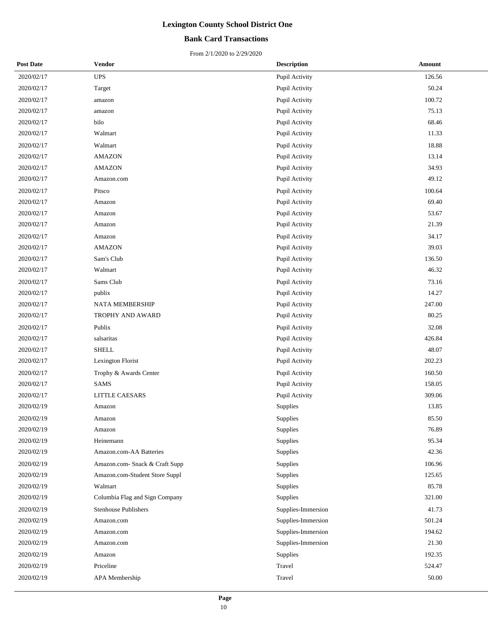## **Bank Card Transactions**

| <b>Post Date</b> | Vendor                         | <b>Description</b> | Amount |
|------------------|--------------------------------|--------------------|--------|
| 2020/02/17       | $\ensuremath{\mathsf{UPS}}$    | Pupil Activity     | 126.56 |
| 2020/02/17       | Target                         | Pupil Activity     | 50.24  |
| 2020/02/17       | amazon                         | Pupil Activity     | 100.72 |
| 2020/02/17       | amazon                         | Pupil Activity     | 75.13  |
| 2020/02/17       | bilo                           | Pupil Activity     | 68.46  |
| 2020/02/17       | Walmart                        | Pupil Activity     | 11.33  |
| 2020/02/17       | Walmart                        | Pupil Activity     | 18.88  |
| 2020/02/17       | <b>AMAZON</b>                  | Pupil Activity     | 13.14  |
| 2020/02/17       | <b>AMAZON</b>                  | Pupil Activity     | 34.93  |
| 2020/02/17       | Amazon.com                     | Pupil Activity     | 49.12  |
| 2020/02/17       | Pitsco                         | Pupil Activity     | 100.64 |
| 2020/02/17       | Amazon                         | Pupil Activity     | 69.40  |
| 2020/02/17       | Amazon                         | Pupil Activity     | 53.67  |
| 2020/02/17       | Amazon                         | Pupil Activity     | 21.39  |
| 2020/02/17       | Amazon                         | Pupil Activity     | 34.17  |
| 2020/02/17       | <b>AMAZON</b>                  | Pupil Activity     | 39.03  |
| 2020/02/17       | Sam's Club                     | Pupil Activity     | 136.50 |
| 2020/02/17       | Walmart                        | Pupil Activity     | 46.32  |
| 2020/02/17       | Sams Club                      | Pupil Activity     | 73.16  |
| 2020/02/17       | publix                         | Pupil Activity     | 14.27  |
| 2020/02/17       | NATA MEMBERSHIP                | Pupil Activity     | 247.00 |
| 2020/02/17       | TROPHY AND AWARD               | Pupil Activity     | 80.25  |
| 2020/02/17       | Publix                         | Pupil Activity     | 32.08  |
| 2020/02/17       | salsaritas                     | Pupil Activity     | 426.84 |
| 2020/02/17       | <b>SHELL</b>                   | Pupil Activity     | 48.07  |
| 2020/02/17       | Lexington Florist              | Pupil Activity     | 202.23 |
| 2020/02/17       | Trophy & Awards Center         | Pupil Activity     | 160.50 |
| 2020/02/17       | <b>SAMS</b>                    | Pupil Activity     | 158.05 |
| 2020/02/17       | LITTLE CAESARS                 | Pupil Activity     | 309.06 |
| 2020/02/19       | Amazon                         | Supplies           | 13.85  |
| 2020/02/19       | Amazon                         | Supplies           | 85.50  |
| 2020/02/19       | Amazon                         | Supplies           | 76.89  |
| 2020/02/19       | Heinemann                      | Supplies           | 95.34  |
| 2020/02/19       | Amazon.com-AA Batteries        | Supplies           | 42.36  |
| 2020/02/19       | Amazon.com- Snack & Craft Supp | Supplies           | 106.96 |
| 2020/02/19       | Amazon.com-Student Store Suppl | Supplies           | 125.65 |
| 2020/02/19       | Walmart                        | Supplies           | 85.78  |
| 2020/02/19       | Columbia Flag and Sign Company | Supplies           | 321.00 |
| 2020/02/19       | <b>Stenhouse Publishers</b>    | Supplies-Immersion | 41.73  |
| 2020/02/19       | Amazon.com                     | Supplies-Immersion | 501.24 |
| 2020/02/19       | Amazon.com                     | Supplies-Immersion | 194.62 |
| 2020/02/19       | Amazon.com                     | Supplies-Immersion | 21.30  |
| 2020/02/19       | Amazon                         | Supplies           | 192.35 |
| 2020/02/19       | Priceline                      | Travel             | 524.47 |
| 2020/02/19       | APA Membership                 | Travel             | 50.00  |
|                  |                                |                    |        |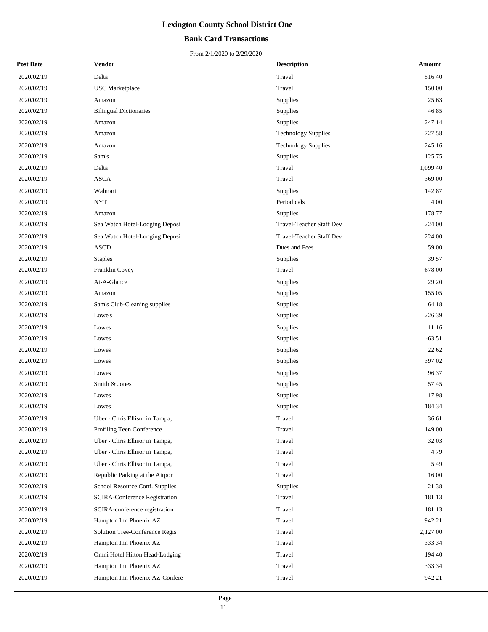## **Bank Card Transactions**

| <b>Post Date</b> | <b>Vendor</b>                  | <b>Description</b>         | Amount   |
|------------------|--------------------------------|----------------------------|----------|
| 2020/02/19       | Delta                          | Travel                     | 516.40   |
| 2020/02/19       | <b>USC</b> Marketplace         | Travel                     | 150.00   |
| 2020/02/19       | Amazon                         | Supplies                   | 25.63    |
| 2020/02/19       | <b>Bilingual Dictionaries</b>  | Supplies                   | 46.85    |
| 2020/02/19       | Amazon                         | Supplies                   | 247.14   |
| 2020/02/19       | Amazon                         | <b>Technology Supplies</b> | 727.58   |
| 2020/02/19       | Amazon                         | <b>Technology Supplies</b> | 245.16   |
| 2020/02/19       | Sam's                          | Supplies                   | 125.75   |
| 2020/02/19       | Delta                          | Travel                     | 1,099.40 |
| 2020/02/19       | <b>ASCA</b>                    | Travel                     | 369.00   |
| 2020/02/19       | Walmart                        | Supplies                   | 142.87   |
| 2020/02/19       | <b>NYT</b>                     | Periodicals                | 4.00     |
| 2020/02/19       | Amazon                         | Supplies                   | 178.77   |
| 2020/02/19       | Sea Watch Hotel-Lodging Deposi | Travel-Teacher Staff Dev   | 224.00   |
| 2020/02/19       | Sea Watch Hotel-Lodging Deposi | Travel-Teacher Staff Dev   | 224.00   |
| 2020/02/19       | <b>ASCD</b>                    | Dues and Fees              | 59.00    |
| 2020/02/19       | <b>Staples</b>                 | Supplies                   | 39.57    |
| 2020/02/19       | Franklin Covey                 | Travel                     | 678.00   |
| 2020/02/19       | At-A-Glance                    | Supplies                   | 29.20    |
| 2020/02/19       | Amazon                         | Supplies                   | 155.05   |
| 2020/02/19       | Sam's Club-Cleaning supplies   | Supplies                   | 64.18    |
| 2020/02/19       | Lowe's                         | Supplies                   | 226.39   |
| 2020/02/19       | Lowes                          | Supplies                   | 11.16    |
| 2020/02/19       | Lowes                          | Supplies                   | $-63.51$ |
| 2020/02/19       | Lowes                          | Supplies                   | 22.62    |
| 2020/02/19       | Lowes                          | Supplies                   | 397.02   |
| 2020/02/19       | Lowes                          | Supplies                   | 96.37    |
| 2020/02/19       | Smith & Jones                  | Supplies                   | 57.45    |
| 2020/02/19       | Lowes                          | Supplies                   | 17.98    |
| 2020/02/19       | Lowes                          | Supplies                   | 184.34   |
| 2020/02/19       | Uber - Chris Ellisor in Tampa, | Travel                     | 36.61    |
| 2020/02/19       | Profiling Teen Conference      | Travel                     | 149.00   |
| 2020/02/19       | Uber - Chris Ellisor in Tampa, | Travel                     | 32.03    |
| 2020/02/19       | Uber - Chris Ellisor in Tampa, | Travel                     | 4.79     |
| 2020/02/19       | Uber - Chris Ellisor in Tampa, | Travel                     | 5.49     |
| 2020/02/19       | Republic Parking at the Airpor | Travel                     | 16.00    |
| 2020/02/19       | School Resource Conf. Supplies | Supplies                   | 21.38    |
| 2020/02/19       | SCIRA-Conference Registration  | Travel                     | 181.13   |
| 2020/02/19       | SCIRA-conference registration  | Travel                     | 181.13   |
| 2020/02/19       | Hampton Inn Phoenix AZ         | Travel                     | 942.21   |
| 2020/02/19       | Solution Tree-Conference Regis | Travel                     | 2,127.00 |
| 2020/02/19       | Hampton Inn Phoenix AZ         | Travel                     | 333.34   |
| 2020/02/19       | Omni Hotel Hilton Head-Lodging | Travel                     | 194.40   |
| 2020/02/19       | Hampton Inn Phoenix AZ         | Travel                     | 333.34   |
| 2020/02/19       | Hampton Inn Phoenix AZ-Confere | Travel                     | 942.21   |
|                  |                                |                            |          |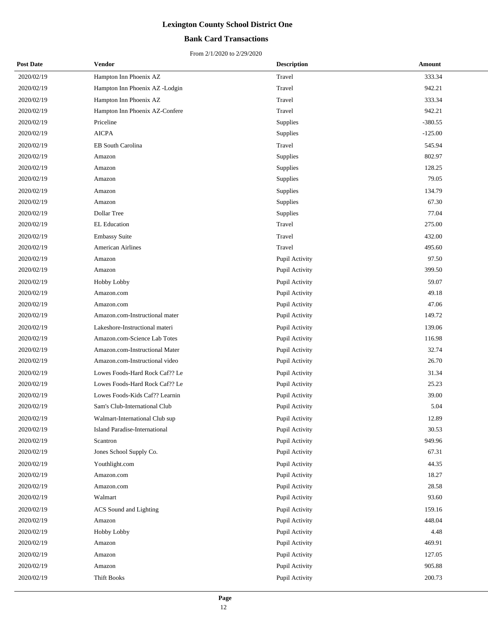## **Bank Card Transactions**

| <b>Post Date</b> | <b>Vendor</b>                        | <b>Description</b> | Amount    |
|------------------|--------------------------------------|--------------------|-----------|
| 2020/02/19       | Hampton Inn Phoenix AZ               | Travel             | 333.34    |
| 2020/02/19       | Hampton Inn Phoenix AZ -Lodgin       | Travel             | 942.21    |
| 2020/02/19       | Hampton Inn Phoenix AZ               | Travel             | 333.34    |
| 2020/02/19       | Hampton Inn Phoenix AZ-Confere       | Travel             | 942.21    |
| 2020/02/19       | Priceline                            | <b>Supplies</b>    | $-380.55$ |
| 2020/02/19       | <b>AICPA</b>                         | Supplies           | $-125.00$ |
| 2020/02/19       | EB South Carolina                    | Travel             | 545.94    |
| 2020/02/19       | Amazon                               | Supplies           | 802.97    |
| 2020/02/19       | Amazon                               | Supplies           | 128.25    |
| 2020/02/19       | Amazon                               | Supplies           | 79.05     |
| 2020/02/19       | Amazon                               | Supplies           | 134.79    |
| 2020/02/19       | Amazon                               | Supplies           | 67.30     |
| 2020/02/19       | Dollar Tree                          | Supplies           | 77.04     |
| 2020/02/19       | <b>EL Education</b>                  | Travel             | 275.00    |
| 2020/02/19       | <b>Embassy Suite</b>                 | Travel             | 432.00    |
| 2020/02/19       | <b>American Airlines</b>             | Travel             | 495.60    |
| 2020/02/19       | Amazon                               | Pupil Activity     | 97.50     |
| 2020/02/19       | Amazon                               | Pupil Activity     | 399.50    |
| 2020/02/19       | <b>Hobby Lobby</b>                   | Pupil Activity     | 59.07     |
| 2020/02/19       | Amazon.com                           | Pupil Activity     | 49.18     |
| 2020/02/19       | Amazon.com                           | Pupil Activity     | 47.06     |
| 2020/02/19       | Amazon.com-Instructional mater       | Pupil Activity     | 149.72    |
| 2020/02/19       | Lakeshore-Instructional materi       | Pupil Activity     | 139.06    |
| 2020/02/19       | Amazon.com-Science Lab Totes         | Pupil Activity     | 116.98    |
| 2020/02/19       | Amazon.com-Instructional Mater       | Pupil Activity     | 32.74     |
| 2020/02/19       | Amazon.com-Instructional video       | Pupil Activity     | 26.70     |
| 2020/02/19       | Lowes Foods-Hard Rock Caf?? Le       | Pupil Activity     | 31.34     |
| 2020/02/19       | Lowes Foods-Hard Rock Caf?? Le       | Pupil Activity     | 25.23     |
| 2020/02/19       | Lowes Foods-Kids Caf?? Learnin       | Pupil Activity     | 39.00     |
| 2020/02/19       | Sam's Club-International Club        | Pupil Activity     | 5.04      |
| 2020/02/19       | Walmart-International Club sup       | Pupil Activity     | 12.89     |
| 2020/02/19       | <b>Island Paradise-International</b> | Pupil Activity     | 30.53     |
| 2020/02/19       | Scantron                             | Pupil Activity     | 949.96    |
| 2020/02/19       | Jones School Supply Co.              | Pupil Activity     | 67.31     |
| 2020/02/19       | Youthlight.com                       | Pupil Activity     | 44.35     |
| 2020/02/19       | Amazon.com                           | Pupil Activity     | 18.27     |
| 2020/02/19       | Amazon.com                           | Pupil Activity     | 28.58     |
| 2020/02/19       | Walmart                              | Pupil Activity     | 93.60     |
| 2020/02/19       | ACS Sound and Lighting               | Pupil Activity     | 159.16    |
| 2020/02/19       | Amazon                               | Pupil Activity     | 448.04    |
| 2020/02/19       | Hobby Lobby                          | Pupil Activity     | 4.48      |
| 2020/02/19       | Amazon                               | Pupil Activity     | 469.91    |
| 2020/02/19       | Amazon                               | Pupil Activity     | 127.05    |
| 2020/02/19       | Amazon                               | Pupil Activity     | 905.88    |
| 2020/02/19       | <b>Thift Books</b>                   | Pupil Activity     | 200.73    |
|                  |                                      |                    |           |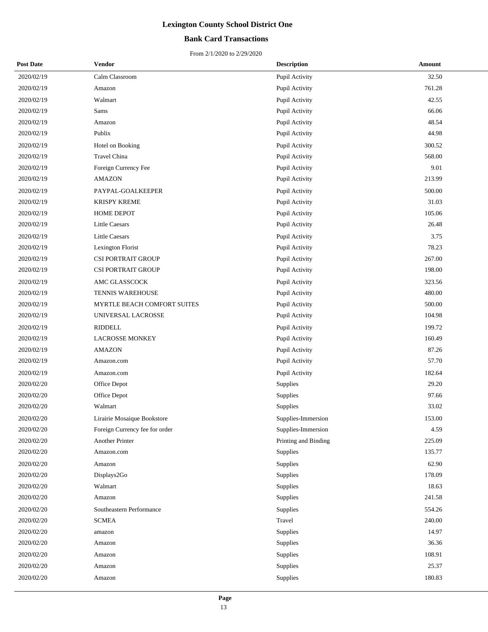## **Bank Card Transactions**

| <b>Post Date</b> | Vendor                         | <b>Description</b>   | Amount |
|------------------|--------------------------------|----------------------|--------|
| 2020/02/19       | Calm Classroom                 | Pupil Activity       | 32.50  |
| 2020/02/19       | Amazon                         | Pupil Activity       | 761.28 |
| 2020/02/19       | Walmart                        | Pupil Activity       | 42.55  |
| 2020/02/19       | Sams                           | Pupil Activity       | 66.06  |
| 2020/02/19       | Amazon                         | Pupil Activity       | 48.54  |
| 2020/02/19       | Publix                         | Pupil Activity       | 44.98  |
| 2020/02/19       | Hotel on Booking               | Pupil Activity       | 300.52 |
| 2020/02/19       | Travel China                   | Pupil Activity       | 568.00 |
| 2020/02/19       | Foreign Currency Fee           | Pupil Activity       | 9.01   |
| 2020/02/19       | <b>AMAZON</b>                  | Pupil Activity       | 213.99 |
| 2020/02/19       | PAYPAL-GOALKEEPER              | Pupil Activity       | 500.00 |
| 2020/02/19       | <b>KRISPY KREME</b>            | Pupil Activity       | 31.03  |
| 2020/02/19       | <b>HOME DEPOT</b>              | Pupil Activity       | 105.06 |
| 2020/02/19       | <b>Little Caesars</b>          | Pupil Activity       | 26.48  |
| 2020/02/19       | <b>Little Caesars</b>          | Pupil Activity       | 3.75   |
| 2020/02/19       | Lexington Florist              | Pupil Activity       | 78.23  |
| 2020/02/19       | <b>CSI PORTRAIT GROUP</b>      | Pupil Activity       | 267.00 |
| 2020/02/19       | <b>CSI PORTRAIT GROUP</b>      | Pupil Activity       | 198.00 |
| 2020/02/19       | AMC GLASSCOCK                  | Pupil Activity       | 323.56 |
| 2020/02/19       | TENNIS WAREHOUSE               | Pupil Activity       | 480.00 |
| 2020/02/19       | MYRTLE BEACH COMFORT SUITES    | Pupil Activity       | 500.00 |
| 2020/02/19       | UNIVERSAL LACROSSE             | Pupil Activity       | 104.98 |
| 2020/02/19       | <b>RIDDELL</b>                 | Pupil Activity       | 199.72 |
| 2020/02/19       | <b>LACROSSE MONKEY</b>         | Pupil Activity       | 160.49 |
| 2020/02/19       | <b>AMAZON</b>                  | Pupil Activity       | 87.26  |
| 2020/02/19       | Amazon.com                     | Pupil Activity       | 57.70  |
| 2020/02/19       | Amazon.com                     | Pupil Activity       | 182.64 |
| 2020/02/20       | Office Depot                   | Supplies             | 29.20  |
| 2020/02/20       | Office Depot                   | Supplies             | 97.66  |
| 2020/02/20       | Walmart                        | Supplies             | 33.02  |
| 2020/02/20       | Lirairie Mosaique Bookstore    | Supplies-Immersion   | 153.00 |
| 2020/02/20       | Foreign Currency fee for order | Supplies-Immersion   | 4.59   |
| 2020/02/20       | Another Printer                | Printing and Binding | 225.09 |
| 2020/02/20       | Amazon.com                     | Supplies             | 135.77 |
| 2020/02/20       | Amazon                         | Supplies             | 62.90  |
| 2020/02/20       | Displays2Go                    | Supplies             | 178.09 |
| 2020/02/20       | Walmart                        | Supplies             | 18.63  |
| 2020/02/20       | Amazon                         | Supplies             | 241.58 |
| 2020/02/20       | Southeastern Performance       | Supplies             | 554.26 |
| 2020/02/20       | <b>SCMEA</b>                   | Travel               | 240.00 |
| 2020/02/20       | amazon                         | Supplies             | 14.97  |
| 2020/02/20       | Amazon                         | Supplies             | 36.36  |
| 2020/02/20       | Amazon                         | Supplies             | 108.91 |
| 2020/02/20       | Amazon                         | Supplies             | 25.37  |
| 2020/02/20       | Amazon                         | Supplies             | 180.83 |
|                  |                                |                      |        |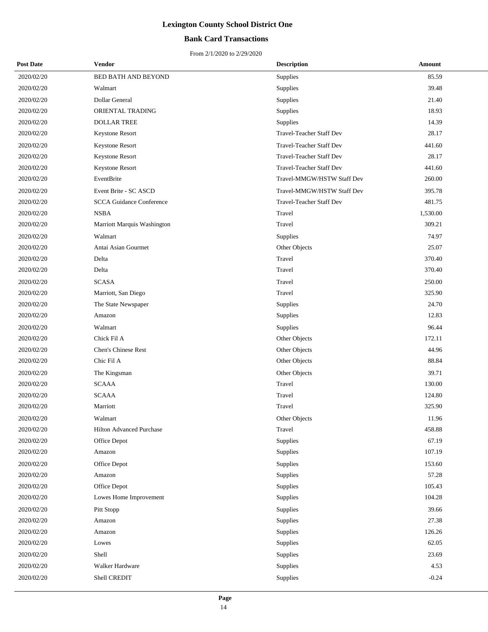## **Bank Card Transactions**

| <b>Post Date</b> | Vendor                          | <b>Description</b>              | Amount   |
|------------------|---------------------------------|---------------------------------|----------|
| 2020/02/20       | <b>BED BATH AND BEYOND</b>      | Supplies                        | 85.59    |
| 2020/02/20       | Walmart                         | Supplies                        | 39.48    |
| 2020/02/20       | Dollar General                  | Supplies                        | 21.40    |
| 2020/02/20       | ORIENTAL TRADING                | Supplies                        | 18.93    |
| 2020/02/20       | <b>DOLLAR TREE</b>              | Supplies                        | 14.39    |
| 2020/02/20       | Keystone Resort                 | Travel-Teacher Staff Dev        | 28.17    |
| 2020/02/20       | Keystone Resort                 | <b>Travel-Teacher Staff Dev</b> | 441.60   |
| 2020/02/20       | Keystone Resort                 | <b>Travel-Teacher Staff Dev</b> | 28.17    |
| 2020/02/20       | Keystone Resort                 | Travel-Teacher Staff Dev        | 441.60   |
| 2020/02/20       | EventBrite                      | Travel-MMGW/HSTW Staff Dev      | 260.00   |
| 2020/02/20       | Event Brite - SC ASCD           | Travel-MMGW/HSTW Staff Dev      | 395.78   |
| 2020/02/20       | <b>SCCA Guidance Conference</b> | <b>Travel-Teacher Staff Dev</b> | 481.75   |
| 2020/02/20       | <b>NSBA</b>                     | Travel                          | 1,530.00 |
| 2020/02/20       | Marriott Marquis Washington     | Travel                          | 309.21   |
| 2020/02/20       | Walmart                         | Supplies                        | 74.97    |
| 2020/02/20       | Antai Asian Gourmet             | Other Objects                   | 25.07    |
| 2020/02/20       | Delta                           | Travel                          | 370.40   |
| 2020/02/20       | Delta                           | Travel                          | 370.40   |
| 2020/02/20       | <b>SCASA</b>                    | Travel                          | 250.00   |
| 2020/02/20       | Marriott, San Diego             | Travel                          | 325.90   |
| 2020/02/20       | The State Newspaper             | Supplies                        | 24.70    |
| 2020/02/20       | Amazon                          | Supplies                        | 12.83    |
| 2020/02/20       | Walmart                         | Supplies                        | 96.44    |
| 2020/02/20       | Chick Fil A                     | Other Objects                   | 172.11   |
| 2020/02/20       | Chen's Chinese Rest             | Other Objects                   | 44.96    |
| 2020/02/20       | Chic Fil A                      | Other Objects                   | 88.84    |
| 2020/02/20       | The Kingsman                    | Other Objects                   | 39.71    |
| 2020/02/20       | <b>SCAAA</b>                    | Travel                          | 130.00   |
| 2020/02/20       | <b>SCAAA</b>                    | Travel                          | 124.80   |
| 2020/02/20       | Marriott                        | Travel                          | 325.90   |
| 2020/02/20       | Walmart                         | Other Objects                   | 11.96    |
| 2020/02/20       | <b>Hilton Advanced Purchase</b> | Travel                          | 458.88   |
| 2020/02/20       | Office Depot                    | Supplies                        | 67.19    |
| 2020/02/20       | Amazon                          | Supplies                        | 107.19   |
| 2020/02/20       | Office Depot                    | Supplies                        | 153.60   |
| 2020/02/20       | Amazon                          | Supplies                        | 57.28    |
| 2020/02/20       | Office Depot                    | Supplies                        | 105.43   |
| 2020/02/20       | Lowes Home Improvement          | Supplies                        | 104.28   |
| 2020/02/20       | Pitt Stopp                      | Supplies                        | 39.66    |
| 2020/02/20       | Amazon                          | Supplies                        | 27.38    |
| 2020/02/20       | Amazon                          | Supplies                        | 126.26   |
| 2020/02/20       | Lowes                           | Supplies                        | 62.05    |
| 2020/02/20       | Shell                           | Supplies                        | 23.69    |
| 2020/02/20       | Walker Hardware                 | Supplies                        | 4.53     |
| 2020/02/20       | Shell CREDIT                    | Supplies                        | $-0.24$  |
|                  |                                 |                                 |          |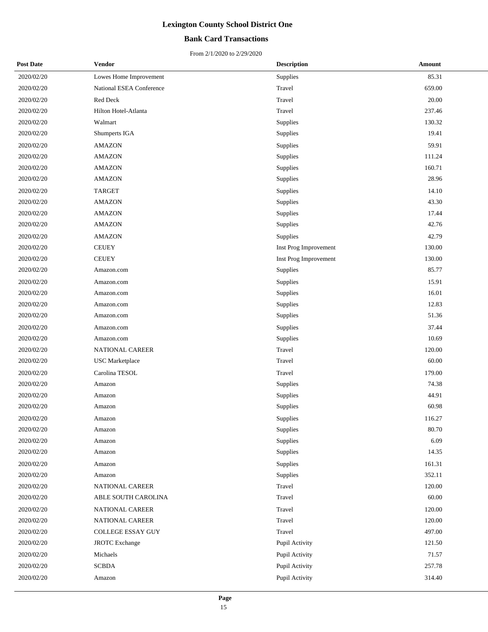### **Bank Card Transactions**

| <b>Post Date</b> | Vendor                   | <b>Description</b>    | Amount |
|------------------|--------------------------|-----------------------|--------|
| 2020/02/20       | Lowes Home Improvement   | Supplies              | 85.31  |
| 2020/02/20       | National ESEA Conference | Travel                | 659.00 |
| 2020/02/20       | Red Deck                 | Travel                | 20.00  |
| 2020/02/20       | Hilton Hotel-Atlanta     | Travel                | 237.46 |
| 2020/02/20       | Walmart                  | Supplies              | 130.32 |
| 2020/02/20       | Shumperts IGA            | Supplies              | 19.41  |
| 2020/02/20       | <b>AMAZON</b>            | Supplies              | 59.91  |
| 2020/02/20       | <b>AMAZON</b>            | Supplies              | 111.24 |
| 2020/02/20       | <b>AMAZON</b>            | Supplies              | 160.71 |
| 2020/02/20       | <b>AMAZON</b>            | Supplies              | 28.96  |
| 2020/02/20       | <b>TARGET</b>            | Supplies              | 14.10  |
| 2020/02/20       | <b>AMAZON</b>            | Supplies              | 43.30  |
| 2020/02/20       | <b>AMAZON</b>            | Supplies              | 17.44  |
| 2020/02/20       | <b>AMAZON</b>            | Supplies              | 42.76  |
| 2020/02/20       | <b>AMAZON</b>            | Supplies              | 42.79  |
| 2020/02/20       | <b>CEUEY</b>             | Inst Prog Improvement | 130.00 |
| 2020/02/20       | <b>CEUEY</b>             | Inst Prog Improvement | 130.00 |
| 2020/02/20       | Amazon.com               | Supplies              | 85.77  |
| 2020/02/20       | Amazon.com               | Supplies              | 15.91  |
| 2020/02/20       | Amazon.com               | Supplies              | 16.01  |
| 2020/02/20       | Amazon.com               | Supplies              | 12.83  |
| 2020/02/20       | Amazon.com               | Supplies              | 51.36  |
| 2020/02/20       | Amazon.com               | Supplies              | 37.44  |
| 2020/02/20       | Amazon.com               | Supplies              | 10.69  |
| 2020/02/20       | NATIONAL CAREER          | Travel                | 120.00 |
| 2020/02/20       | <b>USC</b> Marketplace   | Travel                | 60.00  |
| 2020/02/20       | Carolina TESOL           | Travel                | 179.00 |
| 2020/02/20       | Amazon                   | Supplies              | 74.38  |
| 2020/02/20       | Amazon                   | Supplies              | 44.91  |
| 2020/02/20       | Amazon                   | Supplies              | 60.98  |
| 2020/02/20       | Amazon                   | Supplies              | 116.27 |
| 2020/02/20       | Amazon                   | Supplies              | 80.70  |
| 2020/02/20       | Amazon                   | Supplies              | 6.09   |
| 2020/02/20       | Amazon                   | Supplies              | 14.35  |
| 2020/02/20       | Amazon                   | Supplies              | 161.31 |
| 2020/02/20       | Amazon                   | Supplies              | 352.11 |
| 2020/02/20       | NATIONAL CAREER          | Travel                | 120.00 |
| 2020/02/20       | ABLE SOUTH CAROLINA      | Travel                | 60.00  |
| 2020/02/20       | NATIONAL CAREER          | Travel                | 120.00 |
| 2020/02/20       | NATIONAL CAREER          | Travel                | 120.00 |
| 2020/02/20       | COLLEGE ESSAY GUY        | Travel                | 497.00 |
| 2020/02/20       | <b>JROTC</b> Exchange    | Pupil Activity        | 121.50 |
| 2020/02/20       | Michaels                 | Pupil Activity        | 71.57  |
| 2020/02/20       | <b>SCBDA</b>             | Pupil Activity        | 257.78 |
| 2020/02/20       | Amazon                   | Pupil Activity        | 314.40 |
|                  |                          |                       |        |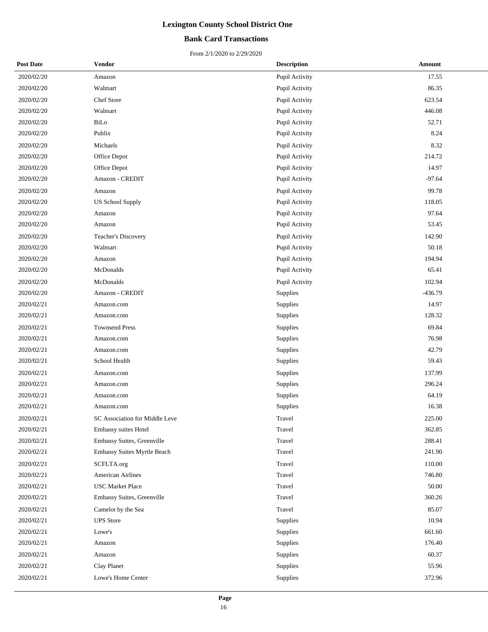## **Bank Card Transactions**

| <b>Post Date</b> | Vendor                         | <b>Description</b> | <b>Amount</b> |
|------------------|--------------------------------|--------------------|---------------|
| 2020/02/20       | Amazon                         | Pupil Activity     | 17.55         |
| 2020/02/20       | Walmart                        | Pupil Activity     | 86.35         |
| 2020/02/20       | Chef Store                     | Pupil Activity     | 623.54        |
| 2020/02/20       | Walmart                        | Pupil Activity     | 446.08        |
| 2020/02/20       | BiLo                           | Pupil Activity     | 52.71         |
| 2020/02/20       | Publix                         | Pupil Activity     | 8.24          |
| 2020/02/20       | Michaels                       | Pupil Activity     | 8.32          |
| 2020/02/20       | Office Depot                   | Pupil Activity     | 214.72        |
| 2020/02/20       | Office Depot                   | Pupil Activity     | 14.97         |
| 2020/02/20       | Amazon - CREDIT                | Pupil Activity     | $-97.64$      |
| 2020/02/20       | Amazon                         | Pupil Activity     | 99.78         |
| 2020/02/20       | US School Supply               | Pupil Activity     | 118.05        |
| 2020/02/20       | Amazon                         | Pupil Activity     | 97.64         |
| 2020/02/20       | Amazon                         | Pupil Activity     | 53.45         |
| 2020/02/20       | Teacher's Discovery            | Pupil Activity     | 142.90        |
| 2020/02/20       | Walmart                        | Pupil Activity     | 50.18         |
| 2020/02/20       | Amazon                         | Pupil Activity     | 194.94        |
| 2020/02/20       | McDonalds                      | Pupil Activity     | 65.41         |
| 2020/02/20       | McDonalds                      | Pupil Activity     | 102.94        |
| 2020/02/20       | Amazon - CREDIT                | Supplies           | $-436.79$     |
| 2020/02/21       | Amazon.com                     | Supplies           | 14.97         |
| 2020/02/21       | Amazon.com                     | Supplies           | 128.32        |
| 2020/02/21       | <b>Townsend Press</b>          | Supplies           | 69.84         |
| 2020/02/21       | Amazon.com                     | Supplies           | 76.98         |
| 2020/02/21       | Amazon.com                     | Supplies           | 42.79         |
| 2020/02/21       | School Health                  | Supplies           | 59.43         |
| 2020/02/21       | Amazon.com                     | Supplies           | 137.99        |
| 2020/02/21       | Amazon.com                     | Supplies           | 296.24        |
| 2020/02/21       | Amazon.com                     | Supplies           | 64.19         |
| 2020/02/21       | Amazon.com                     | Supplies           | 16.38         |
| 2020/02/21       | SC Association for Middle Leve | Travel             | 225.00        |
| 2020/02/21       | Embassy suites Hotel           | Travel             | 362.85        |
| 2020/02/21       | Embassy Suites, Greenville     | Travel             | 288.41        |
| 2020/02/21       | Embassy Suites Myrtle Beach    | Travel             | 241.90        |
| 2020/02/21       | SCFLTA.org                     | Travel             | 110.00        |
| 2020/02/21       | <b>American Airlines</b>       | Travel             | 746.80        |
| 2020/02/21       | <b>USC Market Place</b>        | Travel             | 50.00         |
| 2020/02/21       | Embassy Suites, Greenville     | Travel             | 360.26        |
| 2020/02/21       | Camelot by the Sea             | Travel             | 85.07         |
| 2020/02/21       | <b>UPS</b> Store               | Supplies           | 10.94         |
| 2020/02/21       | Lowe's                         | Supplies           | 661.60        |
| 2020/02/21       | Amazon                         | Supplies           | 176.40        |
| 2020/02/21       | Amazon                         | Supplies           | 60.37         |
| 2020/02/21       | Clay Planet                    | Supplies           | 55.96         |
| 2020/02/21       | Lowe's Home Center             | Supplies           | 372.96        |
|                  |                                |                    |               |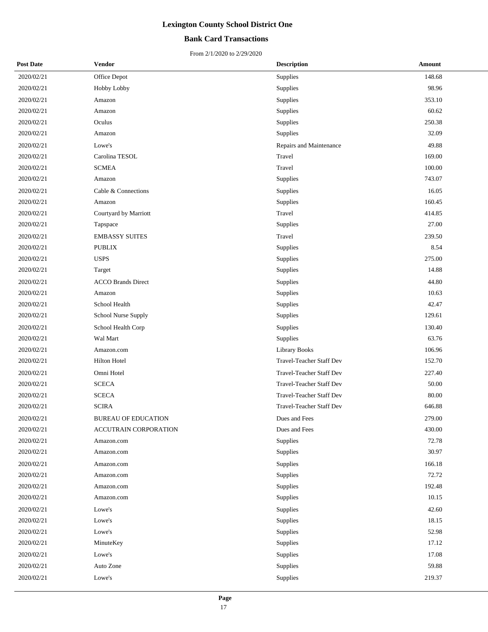## **Bank Card Transactions**

| <b>Post Date</b> | <b>Vendor</b>              | <b>Description</b>              | <b>Amount</b> |
|------------------|----------------------------|---------------------------------|---------------|
| 2020/02/21       | Office Depot               | Supplies                        | 148.68        |
| 2020/02/21       | <b>Hobby Lobby</b>         | Supplies                        | 98.96         |
| 2020/02/21       | Amazon                     | Supplies                        | 353.10        |
| 2020/02/21       | Amazon                     | Supplies                        | 60.62         |
| 2020/02/21       | Oculus                     | Supplies                        | 250.38        |
| 2020/02/21       | Amazon                     | Supplies                        | 32.09         |
| 2020/02/21       | Lowe's                     | Repairs and Maintenance         | 49.88         |
| 2020/02/21       | Carolina TESOL             | Travel                          | 169.00        |
| 2020/02/21       | <b>SCMEA</b>               | Travel                          | 100.00        |
| 2020/02/21       | Amazon                     | Supplies                        | 743.07        |
| 2020/02/21       | Cable & Connections        | Supplies                        | 16.05         |
| 2020/02/21       | Amazon                     | Supplies                        | 160.45        |
| 2020/02/21       | Courtyard by Marriott      | Travel                          | 414.85        |
| 2020/02/21       | Tapspace                   | Supplies                        | 27.00         |
| 2020/02/21       | <b>EMBASSY SUITES</b>      | Travel                          | 239.50        |
| 2020/02/21       | <b>PUBLIX</b>              | Supplies                        | 8.54          |
| 2020/02/21       | <b>USPS</b>                | Supplies                        | 275.00        |
| 2020/02/21       | Target                     | Supplies                        | 14.88         |
| 2020/02/21       | <b>ACCO Brands Direct</b>  | Supplies                        | 44.80         |
| 2020/02/21       | Amazon                     | Supplies                        | 10.63         |
| 2020/02/21       | School Health              | Supplies                        | 42.47         |
| 2020/02/21       | School Nurse Supply        | Supplies                        | 129.61        |
| 2020/02/21       | School Health Corp         | Supplies                        | 130.40        |
| 2020/02/21       | Wal Mart                   | Supplies                        | 63.76         |
| 2020/02/21       | Amazon.com                 | <b>Library Books</b>            | 106.96        |
| 2020/02/21       | <b>Hilton Hotel</b>        | Travel-Teacher Staff Dev        | 152.70        |
| 2020/02/21       | Omni Hotel                 | Travel-Teacher Staff Dev        | 227.40        |
| 2020/02/21       | <b>SCECA</b>               | <b>Travel-Teacher Staff Dev</b> | 50.00         |
| 2020/02/21       | <b>SCECA</b>               | Travel-Teacher Staff Dev        | 80.00         |
| 2020/02/21       | <b>SCIRA</b>               | Travel-Teacher Staff Dev        | 646.88        |
| 2020/02/21       | <b>BUREAU OF EDUCATION</b> | Dues and Fees                   | 279.00        |
| 2020/02/21       | ACCUTRAIN CORPORATION      | Dues and Fees                   | 430.00        |
| 2020/02/21       | Amazon.com                 | Supplies                        | 72.78         |
| 2020/02/21       | Amazon.com                 | Supplies                        | 30.97         |
| 2020/02/21       | Amazon.com                 | Supplies                        | 166.18        |
| 2020/02/21       | Amazon.com                 | Supplies                        | 72.72         |
| 2020/02/21       | Amazon.com                 | Supplies                        | 192.48        |
| 2020/02/21       | Amazon.com                 | Supplies                        | 10.15         |
| 2020/02/21       | Lowe's                     | Supplies                        | 42.60         |
| 2020/02/21       | Lowe's                     | Supplies                        | 18.15         |
| 2020/02/21       | Lowe's                     | Supplies                        | 52.98         |
| 2020/02/21       | MinuteKey                  | Supplies                        | 17.12         |
| 2020/02/21       | Lowe's                     | Supplies                        | 17.08         |
| 2020/02/21       | Auto Zone                  | Supplies                        | 59.88         |
| 2020/02/21       | Lowe's                     | Supplies                        | 219.37        |
|                  |                            |                                 |               |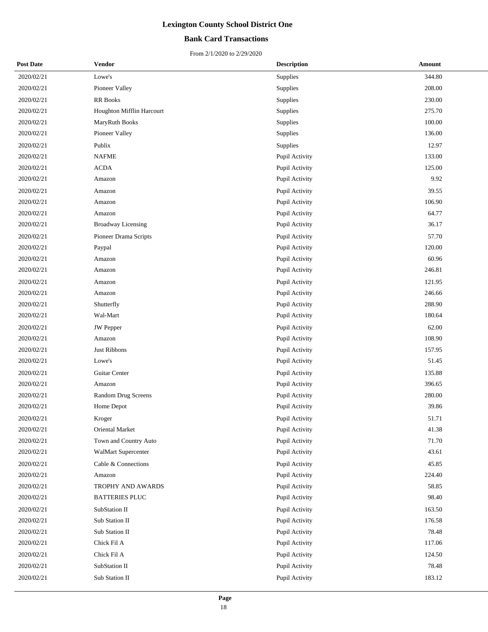## **Bank Card Transactions**

| <b>Post Date</b> | Vendor                    | <b>Description</b> | Amount |
|------------------|---------------------------|--------------------|--------|
| 2020/02/21       | Lowe's                    | Supplies           | 344.80 |
| 2020/02/21       | Pioneer Valley            | Supplies           | 208.00 |
| 2020/02/21       | RR Books                  | Supplies           | 230.00 |
| 2020/02/21       | Houghton Mifflin Harcourt | Supplies           | 275.70 |
| 2020/02/21       | MaryRuth Books            | Supplies           | 100.00 |
| 2020/02/21       | Pioneer Valley            | Supplies           | 136.00 |
| 2020/02/21       | Publix                    | Supplies           | 12.97  |
| 2020/02/21       | <b>NAFME</b>              | Pupil Activity     | 133.00 |
| 2020/02/21       | <b>ACDA</b>               | Pupil Activity     | 125.00 |
| 2020/02/21       | Amazon                    | Pupil Activity     | 9.92   |
| 2020/02/21       | Amazon                    | Pupil Activity     | 39.55  |
| 2020/02/21       | Amazon                    | Pupil Activity     | 106.90 |
| 2020/02/21       | Amazon                    | Pupil Activity     | 64.77  |
| 2020/02/21       | Broadway Licensing        | Pupil Activity     | 36.17  |
| 2020/02/21       | Pioneer Drama Scripts     | Pupil Activity     | 57.70  |
| 2020/02/21       | Paypal                    | Pupil Activity     | 120.00 |
| 2020/02/21       | Amazon                    | Pupil Activity     | 60.96  |
| 2020/02/21       | Amazon                    | Pupil Activity     | 246.81 |
| 2020/02/21       | Amazon                    | Pupil Activity     | 121.95 |
| 2020/02/21       | Amazon                    | Pupil Activity     | 246.66 |
| 2020/02/21       | Shutterfly                | Pupil Activity     | 288.90 |
| 2020/02/21       | Wal-Mart                  | Pupil Activity     | 180.64 |
| 2020/02/21       | <b>JW</b> Pepper          | Pupil Activity     | 62.00  |
| 2020/02/21       | Amazon                    | Pupil Activity     | 108.90 |
| 2020/02/21       | Just Ribbons              | Pupil Activity     | 157.95 |
| 2020/02/21       | Lowe's                    | Pupil Activity     | 51.45  |
| 2020/02/21       | Guitar Center             | Pupil Activity     | 135.88 |
| 2020/02/21       | Amazon                    | Pupil Activity     | 396.65 |
| 2020/02/21       | Random Drug Screens       | Pupil Activity     | 280.00 |
| 2020/02/21       | Home Depot                | Pupil Activity     | 39.86  |
| 2020/02/21       | Kroger                    | Pupil Activity     | 51.71  |
| 2020/02/21       | Oriental Market           | Pupil Activity     | 41.38  |
| 2020/02/21       | Town and Country Auto     | Pupil Activity     | 71.70  |
| 2020/02/21       | WalMart Supercenter       | Pupil Activity     | 43.61  |
| 2020/02/21       | Cable & Connections       | Pupil Activity     | 45.85  |
| 2020/02/21       | Amazon                    | Pupil Activity     | 224.40 |
| 2020/02/21       | TROPHY AND AWARDS         | Pupil Activity     | 58.85  |
| 2020/02/21       | <b>BATTERIES PLUC</b>     | Pupil Activity     | 98.40  |
| 2020/02/21       | SubStation II             | Pupil Activity     | 163.50 |
| 2020/02/21       | Sub Station II            | Pupil Activity     | 176.58 |
| 2020/02/21       | Sub Station II            | Pupil Activity     | 78.48  |
| 2020/02/21       | Chick Fil A               | Pupil Activity     | 117.06 |
| 2020/02/21       | Chick Fil A               | Pupil Activity     | 124.50 |
| 2020/02/21       | SubStation II             | Pupil Activity     | 78.48  |
| 2020/02/21       | Sub Station II            | Pupil Activity     | 183.12 |
|                  |                           |                    |        |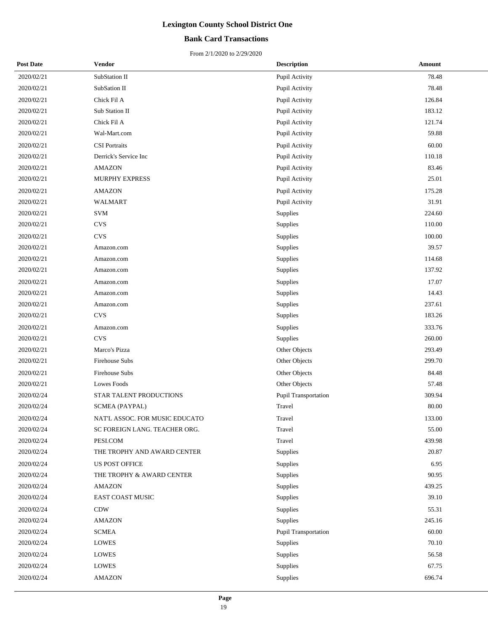## **Bank Card Transactions**

| <b>Post Date</b> | Vendor                         | <b>Description</b>   | Amount |
|------------------|--------------------------------|----------------------|--------|
| 2020/02/21       | SubStation II                  | Pupil Activity       | 78.48  |
| 2020/02/21       | SubSation II                   | Pupil Activity       | 78.48  |
| 2020/02/21       | Chick Fil A                    | Pupil Activity       | 126.84 |
| 2020/02/21       | Sub Station II                 | Pupil Activity       | 183.12 |
| 2020/02/21       | Chick Fil A                    | Pupil Activity       | 121.74 |
| 2020/02/21       | Wal-Mart.com                   | Pupil Activity       | 59.88  |
| 2020/02/21       | <b>CSI</b> Portraits           | Pupil Activity       | 60.00  |
| 2020/02/21       | Derrick's Service Inc          | Pupil Activity       | 110.18 |
| 2020/02/21       | <b>AMAZON</b>                  | Pupil Activity       | 83.46  |
| 2020/02/21       | <b>MURPHY EXPRESS</b>          | Pupil Activity       | 25.01  |
| 2020/02/21       | <b>AMAZON</b>                  | Pupil Activity       | 175.28 |
| 2020/02/21       | <b>WALMART</b>                 | Pupil Activity       | 31.91  |
| 2020/02/21       | <b>SVM</b>                     | Supplies             | 224.60 |
| 2020/02/21       | <b>CVS</b>                     | Supplies             | 110.00 |
| 2020/02/21       | <b>CVS</b>                     | Supplies             | 100.00 |
| 2020/02/21       | Amazon.com                     | Supplies             | 39.57  |
| 2020/02/21       | Amazon.com                     | Supplies             | 114.68 |
| 2020/02/21       | Amazon.com                     | Supplies             | 137.92 |
| 2020/02/21       | Amazon.com                     | Supplies             | 17.07  |
| 2020/02/21       | Amazon.com                     | Supplies             | 14.43  |
| 2020/02/21       | Amazon.com                     | Supplies             | 237.61 |
| 2020/02/21       | <b>CVS</b>                     | Supplies             | 183.26 |
| 2020/02/21       | Amazon.com                     | Supplies             | 333.76 |
| 2020/02/21       | <b>CVS</b>                     | Supplies             | 260.00 |
| 2020/02/21       | Marco's Pizza                  | Other Objects        | 293.49 |
| 2020/02/21       | Firehouse Subs                 | Other Objects        | 299.70 |
| 2020/02/21       | Firehouse Subs                 | Other Objects        | 84.48  |
| 2020/02/21       | Lowes Foods                    | Other Objects        | 57.48  |
| 2020/02/24       | STAR TALENT PRODUCTIONS        | Pupil Transportation | 309.94 |
| 2020/02/24       | <b>SCMEA (PAYPAL)</b>          | Travel               | 80.00  |
| 2020/02/24       | NAT'L ASSOC. FOR MUSIC EDUCATO | Travel               | 133.00 |
| 2020/02/24       | SC FOREIGN LANG. TEACHER ORG.  | Travel               | 55.00  |
| 2020/02/24       | PESI.COM                       | Travel               | 439.98 |
| 2020/02/24       | THE TROPHY AND AWARD CENTER    | Supplies             | 20.87  |
| 2020/02/24       | <b>US POST OFFICE</b>          | Supplies             | 6.95   |
| 2020/02/24       | THE TROPHY & AWARD CENTER      | Supplies             | 90.95  |
| 2020/02/24       | <b>AMAZON</b>                  | Supplies             | 439.25 |
| 2020/02/24       | EAST COAST MUSIC               | Supplies             | 39.10  |
| 2020/02/24       | <b>CDW</b>                     | Supplies             | 55.31  |
| 2020/02/24       | <b>AMAZON</b>                  | Supplies             | 245.16 |
| 2020/02/24       | <b>SCMEA</b>                   | Pupil Transportation | 60.00  |
| 2020/02/24       | <b>LOWES</b>                   | Supplies             | 70.10  |
| 2020/02/24       | <b>LOWES</b>                   | Supplies             | 56.58  |
| 2020/02/24       | <b>LOWES</b>                   | Supplies             | 67.75  |
| 2020/02/24       | <b>AMAZON</b>                  | Supplies             | 696.74 |
|                  |                                |                      |        |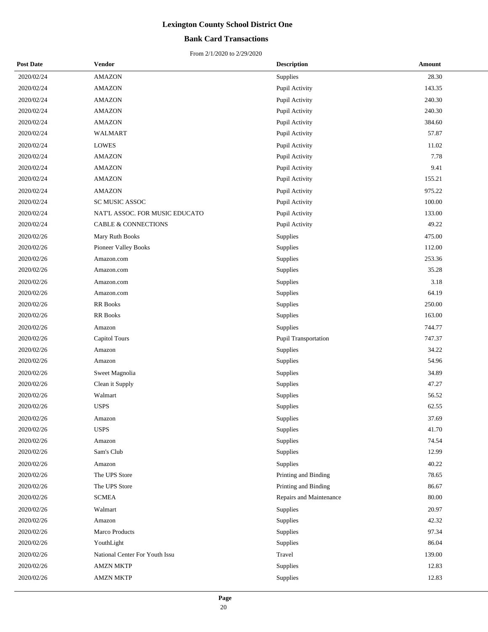## **Bank Card Transactions**

| <b>Post Date</b> | <b>Vendor</b>                  | <b>Description</b>      | Amount |
|------------------|--------------------------------|-------------------------|--------|
| 2020/02/24       | <b>AMAZON</b>                  | <b>Supplies</b>         | 28.30  |
| 2020/02/24       | <b>AMAZON</b>                  | Pupil Activity          | 143.35 |
| 2020/02/24       | <b>AMAZON</b>                  | Pupil Activity          | 240.30 |
| 2020/02/24       | <b>AMAZON</b>                  | Pupil Activity          | 240.30 |
| 2020/02/24       | <b>AMAZON</b>                  | Pupil Activity          | 384.60 |
| 2020/02/24       | WALMART                        | Pupil Activity          | 57.87  |
| 2020/02/24       | <b>LOWES</b>                   | Pupil Activity          | 11.02  |
| 2020/02/24       | <b>AMAZON</b>                  | Pupil Activity          | 7.78   |
| 2020/02/24       | <b>AMAZON</b>                  | Pupil Activity          | 9.41   |
| 2020/02/24       | <b>AMAZON</b>                  | Pupil Activity          | 155.21 |
| 2020/02/24       | <b>AMAZON</b>                  | Pupil Activity          | 975.22 |
| 2020/02/24       | SC MUSIC ASSOC                 | Pupil Activity          | 100.00 |
| 2020/02/24       | NAT'L ASSOC. FOR MUSIC EDUCATO | Pupil Activity          | 133.00 |
| 2020/02/24       | <b>CABLE &amp; CONNECTIONS</b> | Pupil Activity          | 49.22  |
| 2020/02/26       | Mary Ruth Books                | Supplies                | 475.00 |
| 2020/02/26       | Pioneer Valley Books           | Supplies                | 112.00 |
| 2020/02/26       | Amazon.com                     | Supplies                | 253.36 |
| 2020/02/26       | Amazon.com                     | Supplies                | 35.28  |
| 2020/02/26       | Amazon.com                     | Supplies                | 3.18   |
| 2020/02/26       | Amazon.com                     | Supplies                | 64.19  |
| 2020/02/26       | <b>RR</b> Books                | Supplies                | 250.00 |
| 2020/02/26       | RR Books                       | Supplies                | 163.00 |
| 2020/02/26       | Amazon                         | Supplies                | 744.77 |
| 2020/02/26       | <b>Capitol Tours</b>           | Pupil Transportation    | 747.37 |
| 2020/02/26       | Amazon                         | Supplies                | 34.22  |
| 2020/02/26       | Amazon                         | Supplies                | 54.96  |
| 2020/02/26       | Sweet Magnolia                 | Supplies                | 34.89  |
| 2020/02/26       | Clean it Supply                | Supplies                | 47.27  |
| 2020/02/26       | Walmart                        | Supplies                | 56.52  |
| 2020/02/26       | <b>USPS</b>                    | Supplies                | 62.55  |
| 2020/02/26       | Amazon                         | Supplies                | 37.69  |
| 2020/02/26       | <b>USPS</b>                    | Supplies                | 41.70  |
| 2020/02/26       | Amazon                         | Supplies                | 74.54  |
| 2020/02/26       | Sam's Club                     | Supplies                | 12.99  |
| 2020/02/26       | Amazon                         | Supplies                | 40.22  |
| 2020/02/26       | The UPS Store                  | Printing and Binding    | 78.65  |
| 2020/02/26       | The UPS Store                  | Printing and Binding    | 86.67  |
| 2020/02/26       | <b>SCMEA</b>                   | Repairs and Maintenance | 80.00  |
| 2020/02/26       | Walmart                        | Supplies                | 20.97  |
| 2020/02/26       | Amazon                         | Supplies                | 42.32  |
| 2020/02/26       | Marco Products                 | Supplies                | 97.34  |
| 2020/02/26       | YouthLight                     | Supplies                | 86.04  |
| 2020/02/26       | National Center For Youth Issu | Travel                  | 139.00 |
| 2020/02/26       | <b>AMZN MKTP</b>               | Supplies                | 12.83  |
| 2020/02/26       | <b>AMZN MKTP</b>               | Supplies                | 12.83  |
|                  |                                |                         |        |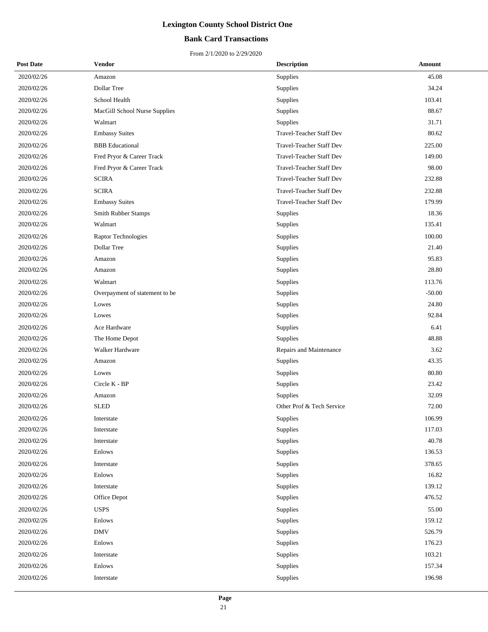## **Bank Card Transactions**

| <b>Post Date</b> | Vendor                         | <b>Description</b>        | Amount   |
|------------------|--------------------------------|---------------------------|----------|
| 2020/02/26       | Amazon                         | Supplies                  | 45.08    |
| 2020/02/26       | Dollar Tree                    | Supplies                  | 34.24    |
| 2020/02/26       | School Health                  | Supplies                  | 103.41   |
| 2020/02/26       | MacGill School Nurse Supplies  | Supplies                  | 88.67    |
| 2020/02/26       | Walmart                        | Supplies                  | 31.71    |
| 2020/02/26       | <b>Embassy Suites</b>          | Travel-Teacher Staff Dev  | 80.62    |
| 2020/02/26       | <b>BBB</b> Educational         | Travel-Teacher Staff Dev  | 225.00   |
| 2020/02/26       | Fred Pryor & Career Track      | Travel-Teacher Staff Dev  | 149.00   |
| 2020/02/26       | Fred Pryor & Career Track      | Travel-Teacher Staff Dev  | 98.00    |
| 2020/02/26       | <b>SCIRA</b>                   | Travel-Teacher Staff Dev  | 232.88   |
| 2020/02/26       | <b>SCIRA</b>                   | Travel-Teacher Staff Dev  | 232.88   |
| 2020/02/26       | <b>Embassy Suites</b>          | Travel-Teacher Staff Dev  | 179.99   |
| 2020/02/26       | Smith Rubber Stamps            | Supplies                  | 18.36    |
| 2020/02/26       | Walmart                        | Supplies                  | 135.41   |
| 2020/02/26       | Raptor Technologies            | Supplies                  | 100.00   |
| 2020/02/26       | Dollar Tree                    | <b>Supplies</b>           | 21.40    |
| 2020/02/26       | Amazon                         | Supplies                  | 95.83    |
| 2020/02/26       | Amazon                         | Supplies                  | 28.80    |
| 2020/02/26       | Walmart                        | Supplies                  | 113.76   |
| 2020/02/26       | Overpayment of statement to be | <b>Supplies</b>           | $-50.00$ |
| 2020/02/26       | Lowes                          | Supplies                  | 24.80    |
| 2020/02/26       | Lowes                          | Supplies                  | 92.84    |
| 2020/02/26       | Ace Hardware                   | Supplies                  | 6.41     |
| 2020/02/26       | The Home Depot                 | Supplies                  | 48.88    |
| 2020/02/26       | Walker Hardware                | Repairs and Maintenance   | 3.62     |
| 2020/02/26       | Amazon                         | Supplies                  | 43.35    |
| 2020/02/26       | Lowes                          | Supplies                  | 80.80    |
| 2020/02/26       | Circle K - BP                  | Supplies                  | 23.42    |
| 2020/02/26       | Amazon                         | Supplies                  | 32.09    |
| 2020/02/26       | <b>SLED</b>                    | Other Prof & Tech Service | 72.00    |
| 2020/02/26       | Interstate                     | Supplies                  | 106.99   |
| 2020/02/26       | Interstate                     | Supplies                  | 117.03   |
| 2020/02/26       | Interstate                     | Supplies                  | 40.78    |
| 2020/02/26       | Enlows                         | Supplies                  | 136.53   |
| 2020/02/26       | Interstate                     | Supplies                  | 378.65   |
| 2020/02/26       | Enlows                         | Supplies                  | 16.82    |
| 2020/02/26       | Interstate                     | Supplies                  | 139.12   |
| 2020/02/26       | Office Depot                   | <b>Supplies</b>           | 476.52   |
| 2020/02/26       | <b>USPS</b>                    | Supplies                  | 55.00    |
| 2020/02/26       | Enlows                         | Supplies                  | 159.12   |
| 2020/02/26       | <b>DMV</b>                     | Supplies                  | 526.79   |
| 2020/02/26       | Enlows                         | Supplies                  | 176.23   |
| 2020/02/26       | Interstate                     | Supplies                  | 103.21   |
| 2020/02/26       | Enlows                         | Supplies                  | 157.34   |
| 2020/02/26       | Interstate                     | Supplies                  | 196.98   |
|                  |                                |                           |          |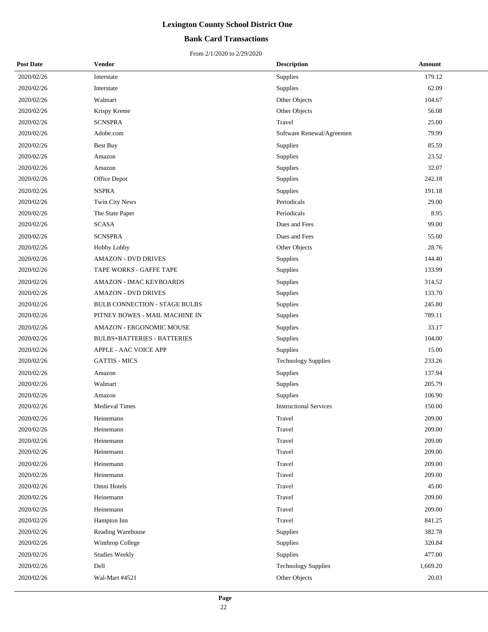### **Bank Card Transactions**

| <b>Post Date</b> | Vendor                             | <b>Description</b>            | Amount   |
|------------------|------------------------------------|-------------------------------|----------|
| 2020/02/26       | Interstate                         | Supplies                      | 179.12   |
| 2020/02/26       | Interstate                         | Supplies                      | 62.09    |
| 2020/02/26       | Walmart                            | Other Objects                 | 104.67   |
| 2020/02/26       | Krispy Kreme                       | Other Objects                 | 56.08    |
| 2020/02/26       | <b>SCNSPRA</b>                     | Travel                        | 25.00    |
| 2020/02/26       | Adobe.com                          | Software Renewal/Agreemen     | 79.99    |
| 2020/02/26       | <b>Best Buy</b>                    | Supplies                      | 85.59    |
| 2020/02/26       | Amazon                             | Supplies                      | 23.52    |
| 2020/02/26       | Amazon                             | Supplies                      | 32.07    |
| 2020/02/26       | Office Depot                       | Supplies                      | 242.18   |
| 2020/02/26       | <b>NSPRA</b>                       | Supplies                      | 191.18   |
| 2020/02/26       | Twin City News                     | Periodicals                   | 29.00    |
| 2020/02/26       | The State Paper                    | Periodicals                   | 8.95     |
| 2020/02/26       | <b>SCASA</b>                       | Dues and Fees                 | 99.00    |
| 2020/02/26       | <b>SCNSPRA</b>                     | Dues and Fees                 | 55.00    |
| 2020/02/26       | Hobby Lobby                        | Other Objects                 | 28.76    |
| 2020/02/26       | <b>AMAZON - DVD DRIVES</b>         | Supplies                      | 144.40   |
| 2020/02/26       | TAPE WORKS - GAFFE TAPE            | Supplies                      | 133.99   |
| 2020/02/26       | <b>AMAZON - IMAC KEYBOARDS</b>     | Supplies                      | 314.52   |
| 2020/02/26       | <b>AMAZON - DVD DRIVES</b>         | Supplies                      | 133.70   |
| 2020/02/26       | BULB CONNECTION - STAGE BULBS      | Supplies                      | 245.80   |
| 2020/02/26       | PITNEY BOWES - MAIL MACHINE IN     | Supplies                      | 789.11   |
| 2020/02/26       | AMAZON - ERGONOMIC MOUSE           | Supplies                      | 33.17    |
| 2020/02/26       | <b>BULBS+BATTERIES - BATTERIES</b> | Supplies                      | 104.00   |
| 2020/02/26       | APPLE - AAC VOICE APP              | Supplies                      | 15.00    |
| 2020/02/26       | <b>GATTIS - MICS</b>               | <b>Technology Supplies</b>    | 233.26   |
| 2020/02/26       | Amazon                             | Supplies                      | 137.94   |
| 2020/02/26       | Walmart                            | Supplies                      | 205.79   |
| 2020/02/26       | Amazon                             | Supplies                      | 106.90   |
| 2020/02/26       | <b>Medieval Times</b>              | <b>Instructional Services</b> | 150.00   |
| 2020/02/26       | Heinemann                          | Travel                        | 209.00   |
| 2020/02/26       | Heinemann                          | Travel                        | 209.00   |
| 2020/02/26       | Heinemann                          | Travel                        | 209.00   |
| 2020/02/26       | Heinemann                          | Travel                        | 209.00   |
| 2020/02/26       | Heinemann                          | Travel                        | 209.00   |
| 2020/02/26       | Heinemann                          | Travel                        | 209.00   |
| 2020/02/26       | Omni Hotels                        | Travel                        | 45.00    |
| 2020/02/26       | Heinemann                          | Travel                        | 209.00   |
| 2020/02/26       | Heinemann                          | Travel                        | 209.00   |
| 2020/02/26       | Hampton Inn                        | Travel                        | 841.25   |
| 2020/02/26       | Reading Warehouse                  | Supplies                      | 382.78   |
| 2020/02/26       | Winthrop College                   | Supplies                      | 320.84   |
| 2020/02/26       | <b>Studies Weekly</b>              | Supplies                      | 477.00   |
| 2020/02/26       | Dell                               | <b>Technology Supplies</b>    | 1,669.20 |
| 2020/02/26       | Wal-Mart #4521                     | Other Objects                 | 20.03    |
|                  |                                    |                               |          |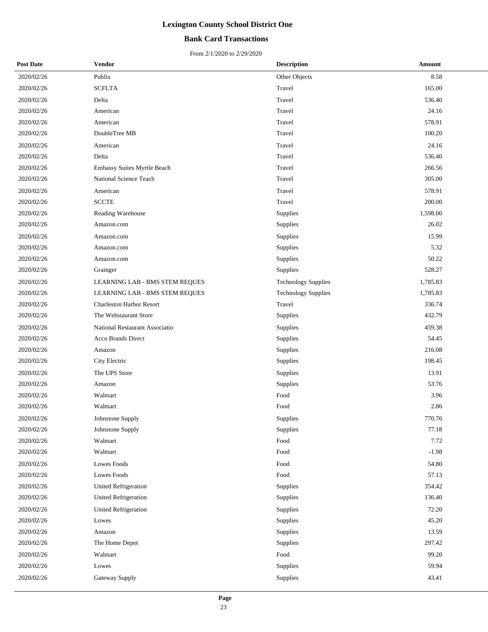## **Bank Card Transactions**

| <b>Post Date</b> | Vendor                          | <b>Description</b>         | Amount   |
|------------------|---------------------------------|----------------------------|----------|
| 2020/02/26       | Publix                          | Other Objects              | 8.58     |
| 2020/02/26       | <b>SCFLTA</b>                   | Travel                     | 165.00   |
| 2020/02/26       | Delta                           | Travel                     | 536.40   |
| 2020/02/26       | American                        | Travel                     | 24.16    |
| 2020/02/26       | American                        | Travel                     | 578.91   |
| 2020/02/26       | DoubleTree MB                   | Travel                     | 100.20   |
| 2020/02/26       | American                        | Travel                     | 24.16    |
| 2020/02/26       | Delta                           | Travel                     | 536.40   |
| 2020/02/26       | Embassy Suites Myrtle Beach     | Travel                     | 266.56   |
| 2020/02/26       | National Science Teach          | Travel                     | 305.00   |
| 2020/02/26       | American                        | Travel                     | 578.91   |
| 2020/02/26       | <b>SCCTE</b>                    | Travel                     | 200.00   |
| 2020/02/26       | Reading Warehouse               | Supplies                   | 1,598.00 |
| 2020/02/26       | Amazon.com                      | Supplies                   | 26.02    |
| 2020/02/26       | Amazon.com                      | Supplies                   | 15.99    |
| 2020/02/26       | Amazon.com                      | Supplies                   | 5.32     |
| 2020/02/26       | Amazon.com                      | Supplies                   | 50.22    |
| 2020/02/26       | Grainger                        | Supplies                   | 528.27   |
| 2020/02/26       | LEARNING LAB - BMS STEM REQUES  | <b>Technology Supplies</b> | 1,785.83 |
| 2020/02/26       | LEARNING LAB - BMS STEM REQUES  | <b>Technology Supplies</b> | 1,785.83 |
| 2020/02/26       | <b>Charleston Harbor Resort</b> | Travel                     | 336.74   |
| 2020/02/26       | The Webstaurant Store           | Supplies                   | 432.79   |
| 2020/02/26       | National Restaurant Associatio  | Supplies                   | 459.38   |
| 2020/02/26       | <b>Acco Brands Direct</b>       | Supplies                   | 54.45    |
| 2020/02/26       | Amazon                          | Supplies                   | 216.08   |
| 2020/02/26       | City Electric                   | Supplies                   | 198.45   |
| 2020/02/26       | The UPS Store                   | Supplies                   | 13.91    |
| 2020/02/26       | Amazon                          | Supplies                   | 53.76    |
| 2020/02/26       | Walmart                         | Food                       | 3.96     |
| 2020/02/26       | Walmart                         | Food                       | 2.86     |
| 2020/02/26       | Johnstone Supply                | Supplies                   | 770.76   |
| 2020/02/26       | Johnstone Supply                | Supplies                   | 77.18    |
| 2020/02/26       | Walmart                         | Food                       | 7.72     |
| 2020/02/26       | Walmart                         | Food                       | $-1.98$  |
| 2020/02/26       | Lowes Foods                     | Food                       | 54.80    |
| 2020/02/26       | Lowes Foods                     | Food                       | 57.13    |
| 2020/02/26       | <b>United Refrigeration</b>     | Supplies                   | 354.42   |
| 2020/02/26       | United Refrigeration            | Supplies                   | 136.40   |
| 2020/02/26       | <b>United Refrigeration</b>     | Supplies                   | 72.20    |
| 2020/02/26       | Lowes                           | Supplies                   | 45.20    |
| 2020/02/26       | Amazon                          | Supplies                   | 13.59    |
| 2020/02/26       | The Home Depot                  | Supplies                   | 297.42   |
| 2020/02/26       | Walmart                         | Food                       | 99.20    |
| 2020/02/26       | Lowes                           | Supplies                   | 59.94    |
| 2020/02/26       | Gateway Supply                  | Supplies                   | 43.41    |
|                  |                                 |                            |          |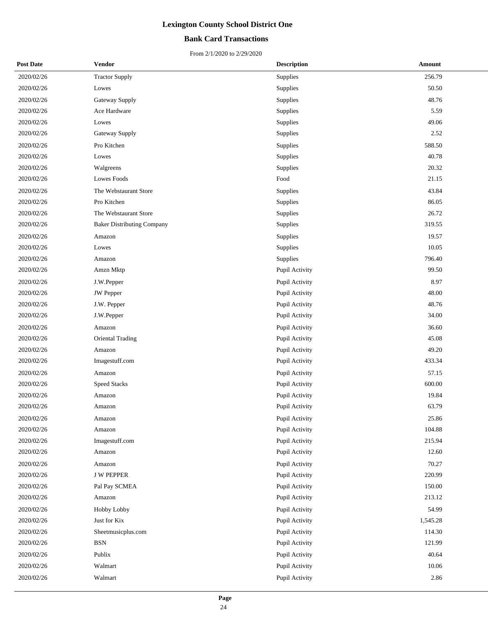### **Bank Card Transactions**

| <b>Post Date</b> | <b>Vendor</b>                     | <b>Description</b> | Amount   |
|------------------|-----------------------------------|--------------------|----------|
| 2020/02/26       | <b>Tractor Supply</b>             | Supplies           | 256.79   |
| 2020/02/26       | Lowes                             | Supplies           | 50.50    |
| 2020/02/26       | Gateway Supply                    | Supplies           | 48.76    |
| 2020/02/26       | Ace Hardware                      | Supplies           | 5.59     |
| 2020/02/26       | Lowes                             | Supplies           | 49.06    |
| 2020/02/26       | Gateway Supply                    | Supplies           | 2.52     |
| 2020/02/26       | Pro Kitchen                       | Supplies           | 588.50   |
| 2020/02/26       | Lowes                             | Supplies           | 40.78    |
| 2020/02/26       | Walgreens                         | Supplies           | 20.32    |
| 2020/02/26       | Lowes Foods                       | Food               | 21.15    |
| 2020/02/26       | The Webstaurant Store             | Supplies           | 43.84    |
| 2020/02/26       | Pro Kitchen                       | Supplies           | 86.05    |
| 2020/02/26       | The Webstaurant Store             | Supplies           | 26.72    |
| 2020/02/26       | <b>Baker Distributing Company</b> | Supplies           | 319.55   |
| 2020/02/26       | Amazon                            | Supplies           | 19.57    |
| 2020/02/26       | Lowes                             | Supplies           | 10.05    |
| 2020/02/26       | Amazon                            | Supplies           | 796.40   |
| 2020/02/26       | Amzn Mktp                         | Pupil Activity     | 99.50    |
| 2020/02/26       | J.W.Pepper                        | Pupil Activity     | 8.97     |
| 2020/02/26       | JW Pepper                         | Pupil Activity     | 48.00    |
| 2020/02/26       | J.W. Pepper                       | Pupil Activity     | 48.76    |
| 2020/02/26       | J.W.Pepper                        | Pupil Activity     | 34.00    |
| 2020/02/26       | Amazon                            | Pupil Activity     | 36.60    |
| 2020/02/26       | <b>Oriental Trading</b>           | Pupil Activity     | 45.08    |
| 2020/02/26       | Amazon                            | Pupil Activity     | 49.20    |
| 2020/02/26       | Imagestuff.com                    | Pupil Activity     | 433.34   |
| 2020/02/26       | Amazon                            | Pupil Activity     | 57.15    |
| 2020/02/26       | Speed Stacks                      | Pupil Activity     | 600.00   |
| 2020/02/26       | Amazon                            | Pupil Activity     | 19.84    |
| 2020/02/26       | Amazon                            | Pupil Activity     | 63.79    |
| 2020/02/26       | Amazon                            | Pupil Activity     | 25.86    |
| 2020/02/26       | Amazon                            | Pupil Activity     | 104.88   |
| 2020/02/26       | Imagestuff.com                    | Pupil Activity     | 215.94   |
| 2020/02/26       | Amazon                            | Pupil Activity     | 12.60    |
| 2020/02/26       | Amazon                            | Pupil Activity     | 70.27    |
| 2020/02/26       | <b>J W PEPPER</b>                 | Pupil Activity     | 220.99   |
| 2020/02/26       | Pal Pay SCMEA                     | Pupil Activity     | 150.00   |
| 2020/02/26       | Amazon                            | Pupil Activity     | 213.12   |
| 2020/02/26       | Hobby Lobby                       | Pupil Activity     | 54.99    |
| 2020/02/26       | Just for Kix                      | Pupil Activity     | 1,545.28 |
| 2020/02/26       | Sheetmusicplus.com                | Pupil Activity     | 114.30   |
| 2020/02/26       | $_{\rm BSN}$                      | Pupil Activity     | 121.99   |
| 2020/02/26       | Publix                            | Pupil Activity     | 40.64    |
| 2020/02/26       | Walmart                           | Pupil Activity     | 10.06    |
| 2020/02/26       | Walmart                           | Pupil Activity     | 2.86     |
|                  |                                   |                    |          |